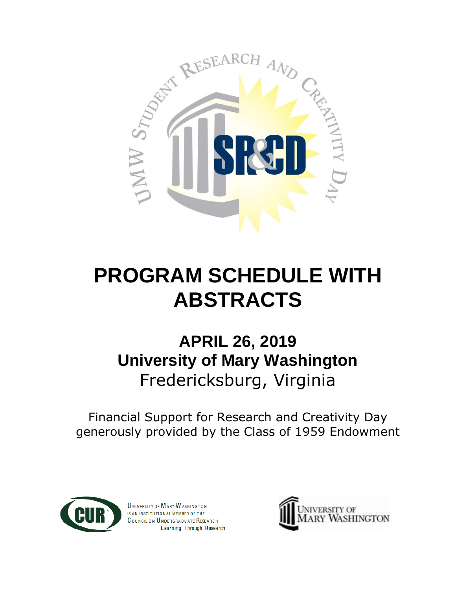

# **PROGRAM SCHEDULE WITH ABSTRACTS**

## **APRIL 26, 2019 University of Mary Washington** Fredericksburg, Virginia

Financial Support for Research and Creativity Day generously provided by the Class of 1959 Endowment



**UNIVERSITY OF MARY WASHINGTON** IS AN INSTITUTION AL MEMBER OF THE COUNCIL ON UNDERGRADUATE RESEARCH Learning Through Research

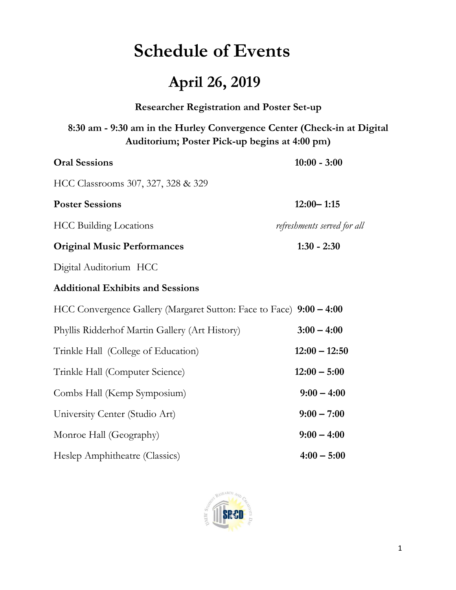## **Schedule of Events**

## **April 26, 2019**

## **Researcher Registration and Poster Set-up**

## **8:30 am - 9:30 am in the Hurley Convergence Center (Check-in at Digital Auditorium; Poster Pick-up begins at 4:00 pm)**

| <b>Oral Sessions</b>                                                | $10:00 - 3:00$              |
|---------------------------------------------------------------------|-----------------------------|
| HCC Classrooms 307, 327, 328 & 329                                  |                             |
| <b>Poster Sessions</b>                                              | $12:00 - 1:15$              |
| <b>HCC Building Locations</b>                                       | refreshments served for all |
| <b>Original Music Performances</b>                                  | $1:30 - 2:30$               |
| Digital Auditorium HCC                                              |                             |
| <b>Additional Exhibits and Sessions</b>                             |                             |
| HCC Convergence Gallery (Margaret Sutton: Face to Face) 9:00 - 4:00 |                             |
| Phyllis Ridderhof Martin Gallery (Art History)                      | $3:00 - 4:00$               |
| Trinkle Hall (College of Education)                                 | $12:00 - 12:50$             |
| Trinkle Hall (Computer Science)                                     | $12:00 - 5:00$              |
| Combs Hall (Kemp Symposium)                                         | $9:00 - 4:00$               |
| University Center (Studio Art)                                      | $9:00 - 7:00$               |
| Monroe Hall (Geography)                                             | $9:00 - 4:00$               |
| Heslep Amphitheatre (Classics)                                      | $4:00 - 5:00$               |

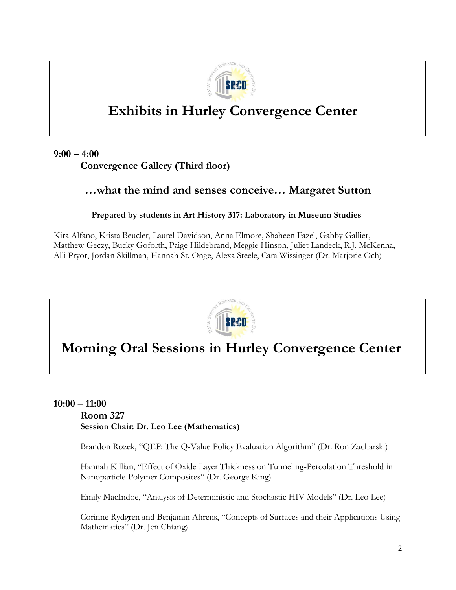

## **Exhibits in Hurley Convergence Center**

**9:00 – 4:00**

**Convergence Gallery (Third floor)**

## **…what the mind and senses conceive… Margaret Sutton**

## **Prepared by students in Art History 317: Laboratory in Museum Studies**

Kira Alfano, Krista Beucler, Laurel Davidson, Anna Elmore, Shaheen Fazel, Gabby Gallier, Matthew Geczy, Bucky Goforth, Paige Hildebrand, Meggie Hinson, Juliet Landeck, R.J. McKenna, Alli Pryor, Jordan Skillman, Hannah St. Onge, Alexa Steele, Cara Wissinger (Dr. Marjorie Och)



## **Morning Oral Sessions in Hurley Convergence Center**

## **10:00 – 11:00 Room 327 Session Chair: Dr. Leo Lee (Mathematics)**

Brandon Rozek, "QEP: The Q-Value Policy Evaluation Algorithm" (Dr. Ron Zacharski)

Hannah Killian, "Effect of Oxide Layer Thickness on Tunneling-Percolation Threshold in Nanoparticle-Polymer Composites" (Dr. George King)

Emily MacIndoe, "Analysis of Deterministic and Stochastic HIV Models" (Dr. Leo Lee)

Corinne Rydgren and Benjamin Ahrens, "Concepts of Surfaces and their Applications Using Mathematics" (Dr. Jen Chiang)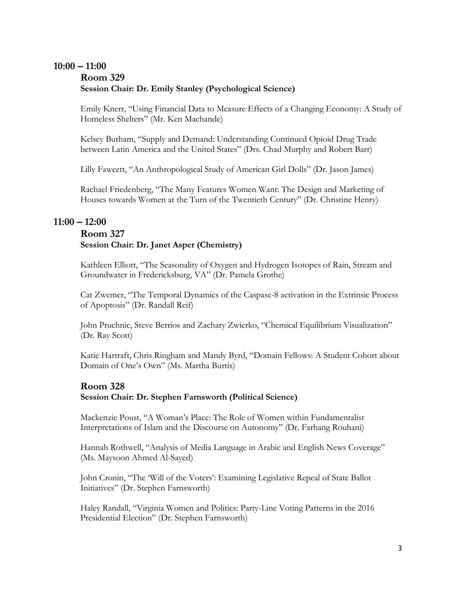## **10:00 – 11:00 Room 329 Session Chair: Dr. Emily Stanley (Psychological Science)**

Emily Knerr, "Using Financial Data to Measure Effects of a Changing Economy: A Study of Homeless Shelters" (Mr. Ken Machande)

Kelsey Burham, "Supply and Demand: Understanding Continued Opioid Drug Trade between Latin America and the United States" (Drs. Chad Murphy and Robert Barr)

Lilly Fawcett, "An Anthropological Study of American Girl Dolls" (Dr. Jason James)

Rachael Friedenberg, "The Many Features Women Want: The Design and Marketing of Houses towards Women at the Turn of the Twentieth Century" (Dr. Christine Henry)

## **11:00 – 12:00**

## **Room 327 Session Chair: Dr. Janet Asper (Chemistry)**

Kathleen Elliott, "The Seasonality of Oxygen and Hydrogen Isotopes of Rain, Stream and Groundwater in Fredericksburg, VA" (Dr. Pamela Grothe)

Cat Zwemer, "The Temporal Dynamics of the Caspase-8 activation in the Extrinsic Process of Apoptosis" (Dr. Randall Reif)

John Pruchnic, Steve Berrios and Zachary Zwierko, "Chemical Equilibrium Visualization" (Dr. Ray Scott)

Katie Hartraft, Chris Ringham and Mandy Byrd, "Domain Fellows: A Student Cohort about Domain of One's Own" (Ms. Martha Burtis)

## **Room 328**

#### **Session Chair: Dr. Stephen Farnsworth (Political Science)**

Mackenzie Poust, "A Woman's Place: The Role of Women within Fundamentalist Interpretations of Islam and the Discourse on Autonomy" (Dr. Farhang Rouhani)

Hannah Rothwell, "Analysis of Media Language in Arabic and English News Coverage" (Ms. Maysoon Ahmed Al-Sayed)

John Cronin, "The 'Will of the Voters': Examining Legislative Repeal of State Ballot Initiatives" (Dr. Stephen Farnsworth)

Haley Randall, "Virginia Women and Politics: Party-Line Voting Patterns in the 2016 Presidential Election" (Dr. Stephen Farnsworth)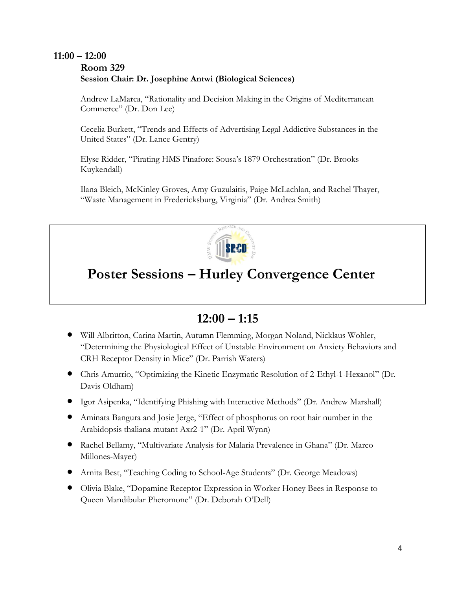## **11:00 – 12:00 Room 329 Session Chair: Dr. Josephine Antwi (Biological Sciences)**

Andrew LaMarca, "Rationality and Decision Making in the Origins of Mediterranean Commerce" (Dr. Don Lee)

Cecelia Burkett, "Trends and Effects of Advertising Legal Addictive Substances in the United States" (Dr. Lance Gentry)

Elyse Ridder, "Pirating HMS Pinafore: Sousa's 1879 Orchestration" (Dr. Brooks Kuykendall)

Ilana Bleich, McKinley Groves, Amy Guzulaitis, Paige McLachlan, and Rachel Thayer, "Waste Management in Fredericksburg, Virginia" (Dr. Andrea Smith)



## **Poster Sessions – Hurley Convergence Center**

## **12:00 – 1:15**

- Will Albritton, Carina Martin, Autumn Flemming, Morgan Noland, Nicklaus Wohler, "Determining the Physiological Effect of Unstable Environment on Anxiety Behaviors and CRH Receptor Density in Mice" (Dr. Parrish Waters)
- Chris Amurrio, "Optimizing the Kinetic Enzymatic Resolution of 2-Ethyl-1-Hexanol" (Dr. Davis Oldham)
- Igor Asipenka, "Identifying Phishing with Interactive Methods" (Dr. Andrew Marshall)
- Aminata Bangura and Josie Jerge, "Effect of phosphorus on root hair number in the Arabidopsis thaliana mutant Axr2-1" (Dr. April Wynn)
- Rachel Bellamy, "Multivariate Analysis for Malaria Prevalence in Ghana" (Dr. Marco Millones-Mayer)
- Arnita Best, "Teaching Coding to School-Age Students" (Dr. George Meadows)
- Olivia Blake, "Dopamine Receptor Expression in Worker Honey Bees in Response to Queen Mandibular Pheromone" (Dr. Deborah O'Dell)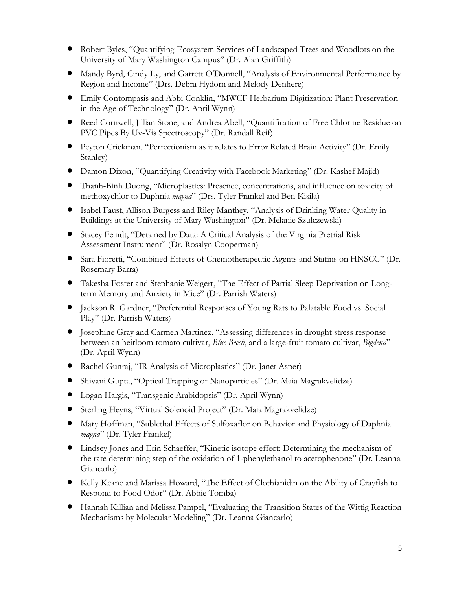- Robert Byles, "Quantifying Ecosystem Services of Landscaped Trees and Woodlots on the University of Mary Washington Campus" (Dr. Alan Griffith)
- Mandy Byrd, Cindy Ly, and Garrett O'Donnell, "Analysis of Environmental Performance by Region and Income" (Drs. Debra Hydorn and Melody Denhere)
- Emily Contompasis and Abbi Conklin, "MWCF Herbarium Digitization: Plant Preservation in the Age of Technology" (Dr. April Wynn)
- Reed Cornwell, Jillian Stone, and Andrea Abell, "Quantification of Free Chlorine Residue on PVC Pipes By Uv-Vis Spectroscopy" (Dr. Randall Reif)
- Peyton Crickman, "Perfectionism as it relates to Error Related Brain Activity" (Dr. Emily Stanley)
- Damon Dixon, "Quantifying Creativity with Facebook Marketing" (Dr. Kashef Majid)
- Thanh-Binh Duong, "Microplastics: Presence, concentrations, and influence on toxicity of methoxychlor to Daphnia *magna*" (Drs. Tyler Frankel and Ben Kisila)
- Isabel Faust, Allison Burgess and Riley Manthey, "Analysis of Drinking Water Quality in Buildings at the University of Mary Washington" (Dr. Melanie Szulczewski)
- Stacey Feindt, "Detained by Data: A Critical Analysis of the Virginia Pretrial Risk Assessment Instrument" (Dr. Rosalyn Cooperman)
- Sara Fioretti, "Combined Effects of Chemotherapeutic Agents and Statins on HNSCC" (Dr. Rosemary Barra)
- Takesha Foster and Stephanie Weigert, "The Effect of Partial Sleep Deprivation on Longterm Memory and Anxiety in Mice" (Dr. Parrish Waters)
- Jackson R. Gardner, "Preferential Responses of Young Rats to Palatable Food vs. Social Play" (Dr. Parrish Waters)
- Josephine Gray and Carmen Martinez, "Assessing differences in drought stress response between an heirloom tomato cultivar, *Blue Beech*, and a large-fruit tomato cultivar, *Bigdena*" (Dr. April Wynn)
- Rachel Gunraj, "IR Analysis of Microplastics" (Dr. Janet Asper)
- Shivani Gupta, "Optical Trapping of Nanoparticles" (Dr. Maia Magrakvelidze)
- Logan Hargis, "Transgenic Arabidopsis" (Dr. April Wynn)
- Sterling Heyns, "Virtual Solenoid Project" (Dr. Maia Magrakvelidze)
- Mary Hoffman, "Sublethal Effects of Sulfoxaflor on Behavior and Physiology of Daphnia *magna*" (Dr. Tyler Frankel)
- Lindsey Jones and Erin Schaeffer, "Kinetic isotope effect: Determining the mechanism of the rate determining step of the oxidation of 1-phenylethanol to acetophenone" (Dr. Leanna Giancarlo)
- Kelly Keane and Marissa Howard, "The Effect of Clothianidin on the Ability of Crayfish to Respond to Food Odor" (Dr. Abbie Tomba)
- Hannah Killian and Melissa Pampel, "Evaluating the Transition States of the Wittig Reaction Mechanisms by Molecular Modeling" (Dr. Leanna Giancarlo)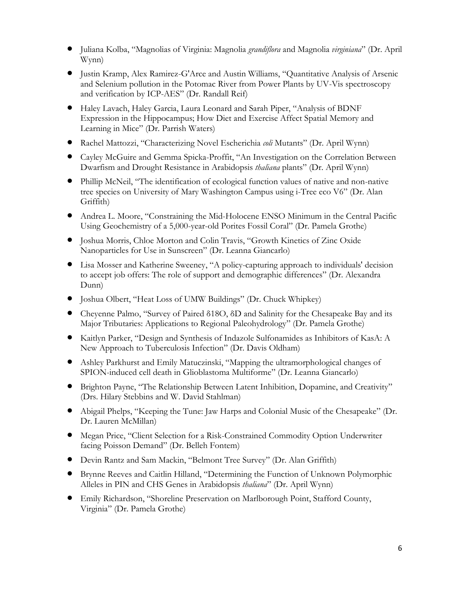- Juliana Kolba, "Magnolias of Virginia: Magnolia *grandiflora* and Magnolia *virginiana*" (Dr. April Wynn)
- Justin Kramp, Alex Ramirez-G'Arce and Austin Williams, "Quantitative Analysis of Arsenic and Selenium pollution in the Potomac River from Power Plants by UV-Vis spectroscopy and verification by ICP-AES" (Dr. Randall Reif)
- Haley Lavach, Haley Garcia, Laura Leonard and Sarah Piper, "Analysis of BDNF Expression in the Hippocampus; How Diet and Exercise Affect Spatial Memory and Learning in Mice" (Dr. Parrish Waters)
- Rachel Mattozzi, "Characterizing Novel Escherichia *coli* Mutants" (Dr. April Wynn)
- Cayley McGuire and Gemma Spicka-Proffit, "An Investigation on the Correlation Between Dwarfism and Drought Resistance in Arabidopsis *thaliana* plants" (Dr. April Wynn)
- Phillip McNeil, "The identification of ecological function values of native and non-native tree species on University of Mary Washington Campus using i-Tree eco V6" (Dr. Alan Griffith)
- Andrea L. Moore, "Constraining the Mid-Holocene ENSO Minimum in the Central Pacific Using Geochemistry of a 5,000-year-old Porites Fossil Coral" (Dr. Pamela Grothe)
- Joshua Morris, Chloe Morton and Colin Travis, "Growth Kinetics of Zinc Oxide Nanoparticles for Use in Sunscreen" (Dr. Leanna Giancarlo)
- Lisa Mosser and Katherine Sweeney, "A policy-capturing approach to individuals' decision to accept job offers: The role of support and demographic differences" (Dr. Alexandra Dunn)
- Joshua Olbert, "Heat Loss of UMW Buildings" (Dr. Chuck Whipkey)
- Cheyenne Palmo, "Survey of Paired δ18O, δD and Salinity for the Chesapeake Bay and its Major Tributaries: Applications to Regional Paleohydrology" (Dr. Pamela Grothe)
- Kaitlyn Parker, "Design and Synthesis of Indazole Sulfonamides as Inhibitors of KasA: A New Approach to Tuberculosis Infection" (Dr. Davis Oldham)
- Ashley Parkhurst and Emily Matuczinski, "Mapping the ultramorphological changes of SPION-induced cell death in Glioblastoma Multiforme" (Dr. Leanna Giancarlo)
- Brighton Payne, "The Relationship Between Latent Inhibition, Dopamine, and Creativity" (Drs. Hilary Stebbins and W. David Stahlman)
- Abigail Phelps, "Keeping the Tune: Jaw Harps and Colonial Music of the Chesapeake" (Dr. Dr. Lauren McMillan)
- Megan Price, "Client Selection for a Risk-Constrained Commodity Option Underwriter facing Poisson Demand" (Dr. Belleh Fontem)
- Devin Rantz and Sam Mackin, "Belmont Tree Survey" (Dr. Alan Griffith)
- Brynne Reeves and Caitlin Hilland, "Determining the Function of Unknown Polymorphic Alleles in PIN and CHS Genes in Arabidopsis *thaliana*" (Dr. April Wynn)
- Emily Richardson, "Shoreline Preservation on Marlborough Point, Stafford County, Virginia" (Dr. Pamela Grothe)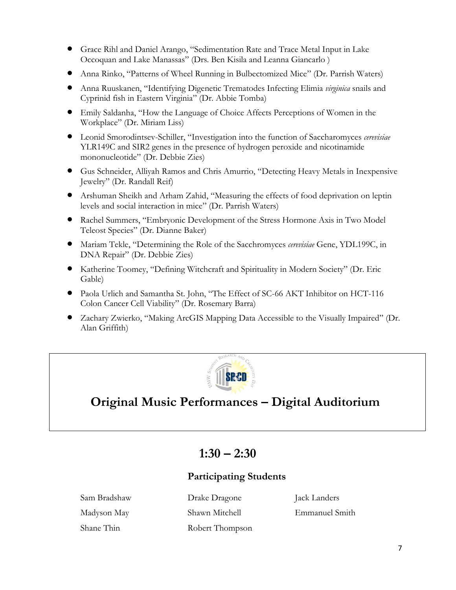- Grace Rihl and Daniel Arango, "Sedimentation Rate and Trace Metal Input in Lake Occoquan and Lake Manassas" (Drs. Ben Kisila and Leanna Giancarlo )
- Anna Rinko, "Patterns of Wheel Running in Bulbectomized Mice" (Dr. Parrish Waters)
- Anna Ruuskanen, "Identifying Digenetic Trematodes Infecting Elimia *virginica* snails and Cyprinid fish in Eastern Virginia" (Dr. Abbie Tomba)
- Emily Saldanha, "How the Language of Choice Affects Perceptions of Women in the Workplace" (Dr. Miriam Liss)
- Leonid Smorodintsev-Schiller, "Investigation into the function of Saccharomyces *cerevisiae* YLR149C and SIR2 genes in the presence of hydrogen peroxide and nicotinamide mononucleotide" (Dr. Debbie Zies)
- Gus Schneider, Alliyah Ramos and Chris Amurrio, "Detecting Heavy Metals in Inexpensive Jewelry" (Dr. Randall Reif)
- Arshuman Sheikh and Arham Zahid, "Measuring the effects of food deprivation on leptin levels and social interaction in mice" (Dr. Parrish Waters)
- Rachel Summers, "Embryonic Development of the Stress Hormone Axis in Two Model Teleost Species" (Dr. Dianne Baker)
- Mariam Tekle, "Determining the Role of the Sacchromyces *cerevisiae* Gene, YDL199C, in DNA Repair" (Dr. Debbie Zies)
- Katherine Toomey, "Defining Witchcraft and Spirituality in Modern Society" (Dr. Eric Gable)
- Paola Urlich and Samantha St. John, "The Effect of SC-66 AKT Inhibitor on HCT-116 Colon Cancer Cell Viability" (Dr. Rosemary Barra)
- Zachary Zwierko, "Making ArcGIS Mapping Data Accessible to the Visually Impaired" (Dr. Alan Griffith)



## **Original Music Performances – Digital Auditorium**

## $1:30 - 2:30$

## **Participating Students**

Shane Thin Robert Thompson

Sam Bradshaw Drake Dragone Jack Landers

Madyson May Shawn Mitchell Emmanuel Smith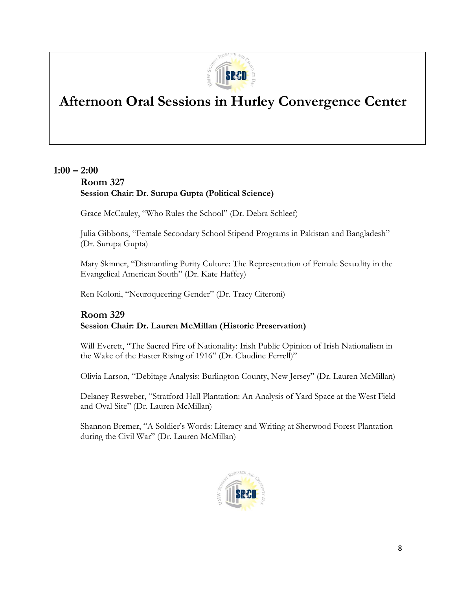

## **Afternoon Oral Sessions in Hurley Convergence Center**

## **1:00 – 2:00**

## **Room 327 Session Chair: Dr. Surupa Gupta (Political Science)**

Grace McCauley, "Who Rules the School" (Dr. Debra Schleef)

Julia Gibbons, "Female Secondary School Stipend Programs in Pakistan and Bangladesh" (Dr. Surupa Gupta)

Mary Skinner, "Dismantling Purity Culture: The Representation of Female Sexuality in the Evangelical American South" (Dr. Kate Haffey)

Ren Koloni, "Neuroqueering Gender" (Dr. Tracy Citeroni)

## **Room 329 Session Chair: Dr. Lauren McMillan (Historic Preservation)**

Will Everett, "The Sacred Fire of Nationality: Irish Public Opinion of Irish Nationalism in the Wake of the Easter Rising of 1916" (Dr. Claudine Ferrell)"

Olivia Larson, "Debitage Analysis: Burlington County, New Jersey" (Dr. Lauren McMillan)

Delaney Resweber, "Stratford Hall Plantation: An Analysis of Yard Space at the West Field and Oval Site" (Dr. Lauren McMillan)

Shannon Bremer, "A Soldier's Words: Literacy and Writing at Sherwood Forest Plantation during the Civil War" (Dr. Lauren McMillan)

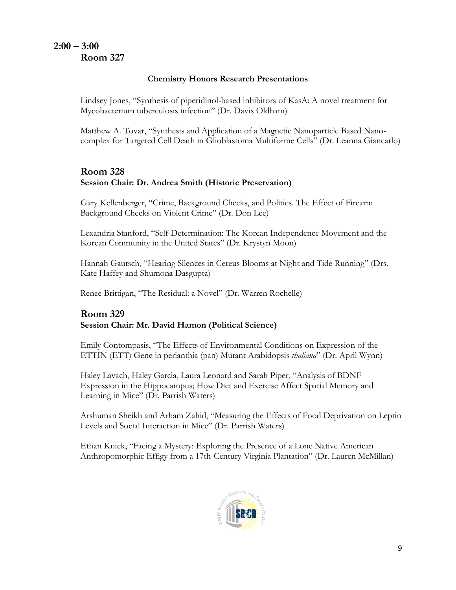## **2:00 – 3:00 Room 327**

### **Chemistry Honors Research Presentations**

Lindsey Jones, "Synthesis of piperidinol-based inhibitors of KasA: A novel treatment for Mycobacterium tuberculosis infection" (Dr. Davis Oldham)

Matthew A. Tovar, "Synthesis and Application of a Magnetic Nanoparticle Based Nanocomplex for Targeted Cell Death in Glioblastoma Multiforme Cells" (Dr. Leanna Giancarlo)

## **Room 328 Session Chair: Dr. Andrea Smith (Historic Preservation)**

Gary Kellenberger, "Crime, Background Checks, and Politics. The Effect of Firearm Background Checks on Violent Crime" (Dr. Don Lee)

Lexandria Stanford, "Self-Determination: The Korean Independence Movement and the Korean Community in the United States" (Dr. Krystyn Moon)

Hannah Gautsch, "Hearing Silences in Cereus Blooms at Night and Tide Running" (Drs. Kate Haffey and Shumona Dasgupta)

Renee Brittigan, "The Residual: a Novel" (Dr. Warren Rochelle)

## **Room 329 Session Chair: Mr. David Hamon (Political Science)**

Emily Contompasis, "The Effects of Environmental Conditions on Expression of the ETTIN (ETT) Gene in perianthia (pan) Mutant Arabidopsis *thaliana*" (Dr. April Wynn)

Haley Lavach, Haley Garcia, Laura Leonard and Sarah Piper, "Analysis of BDNF Expression in the Hippocampus; How Diet and Exercise Affect Spatial Memory and Learning in Mice" (Dr. Parrish Waters)

Arshuman Sheikh and Arham Zahid, "Measuring the Effects of Food Deprivation on Leptin Levels and Social Interaction in Mice" (Dr. Parrish Waters)

Ethan Knick, "Facing a Mystery: Exploring the Presence of a Lone Native American Anthropomorphic Effigy from a 17th-Century Virginia Plantation" (Dr. Lauren McMillan)

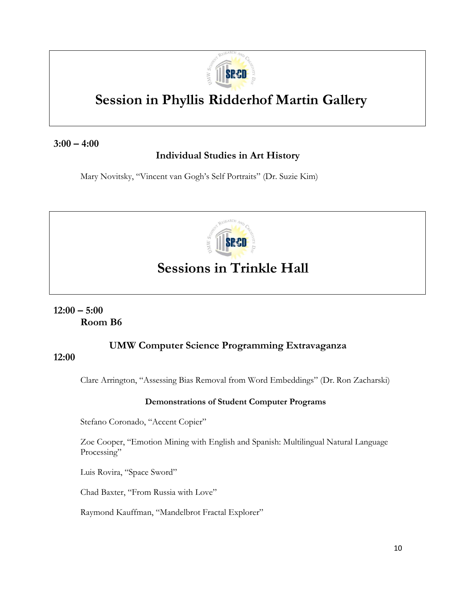

## **Session in Phyllis Ridderhof Martin Gallery**

## **3:00 – 4:00**

## **Individual Studies in Art History**

Mary Novitsky, "Vincent van Gogh's Self Portraits" (Dr. Suzie Kim)



## **Sessions in Trinkle Hall**

## **12:00 – 5:00 Room B6**

## **UMW Computer Science Programming Extravaganza**

## **12:00**

Clare Arrington, "Assessing Bias Removal from Word Embeddings" (Dr. Ron Zacharski)

### **Demonstrations of Student Computer Programs**

Stefano Coronado, "Accent Copier"

Zoe Cooper, "Emotion Mining with English and Spanish: Multilingual Natural Language Processing"

Luis Rovira, "Space Sword"

Chad Baxter, "From Russia with Love"

Raymond Kauffman, "Mandelbrot Fractal Explorer"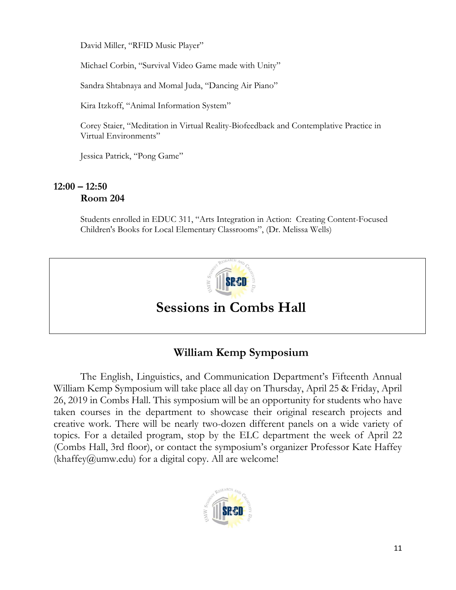David Miller, "RFID Music Player"

Michael Corbin, "Survival Video Game made with Unity"

Sandra Shtabnaya and Momal Juda, "Dancing Air Piano"

Kira Itzkoff, "Animal Information System"

Corey Staier, "Meditation in Virtual Reality-Biofeedback and Contemplative Practice in Virtual Environments"

Jessica Patrick, "Pong Game"

## **12:00 – 12:50 Room 204**

Students enrolled in EDUC 311, "Arts Integration in Action: Creating Content-Focused Children's Books for Local Elementary Classrooms", (Dr. Melissa Wells)



## **Sessions in Combs Hall**

## **William Kemp Symposium**

The English, Linguistics, and Communication Department's Fifteenth Annual William Kemp Symposium will take place all day on Thursday, April 25 & Friday, April 26, 2019 in Combs Hall. This symposium will be an opportunity for students who have taken courses in the department to showcase their original research projects and creative work. There will be nearly two-dozen different panels on a wide variety of topics. For a detailed program, stop by the ELC department the week of April 22 (Combs Hall, 3rd floor), or contact the symposium's organizer Professor Kate Haffey  $(khaffev@umw.edu)$  for a digital copy. All are welcome!

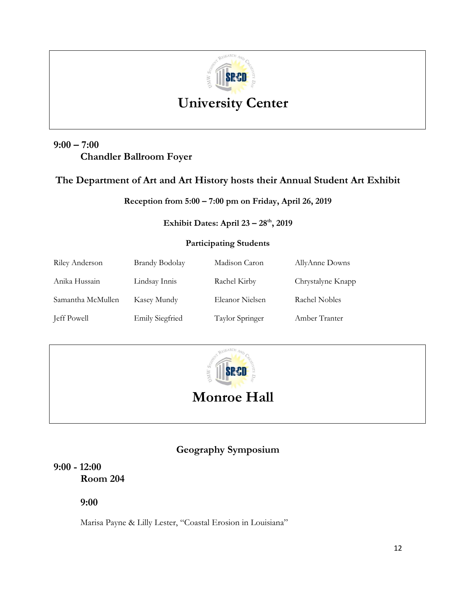

## **University Center**

## **9:00 – 7:00 Chandler Ballroom Foyer**

## **The Department of Art and Art History hosts their Annual Student Art Exhibit**

**Reception from 5:00 – 7:00 pm on Friday, April 26, 2019**

## **Exhibit Dates: April 23 – 28th, 2019**

## **Participating Students**

| Riley Anderson    | <b>Brandy Bodolay</b>  | Madison Caron   | AllyAnne Downs    |
|-------------------|------------------------|-----------------|-------------------|
| Anika Hussain     | Lindsay Innis          | Rachel Kirby    | Chrystalyne Knapp |
| Samantha McMullen | Kasey Mundy            | Eleanor Nielsen | Rachel Nobles     |
| Jeff Powell       | <b>Emily Siegfried</b> | Taylor Springer | Amber Tranter     |



**Monroe Hall**

## **Geography Symposium**

## **9:00 - 12:00 Room 204**

**9:00**

Marisa Payne & Lilly Lester, "Coastal Erosion in Louisiana"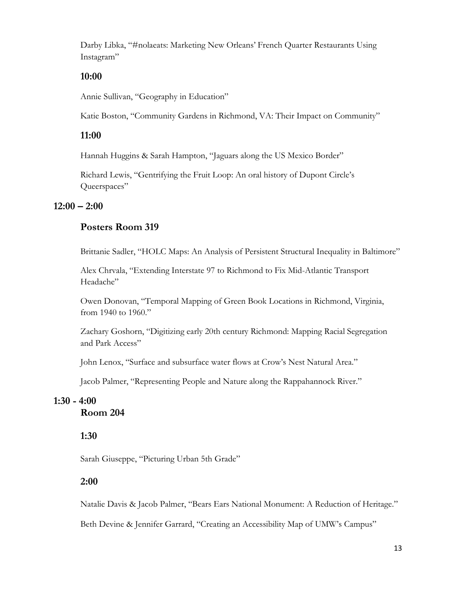Darby Libka, "#nolaeats: Marketing New Orleans' French Quarter Restaurants Using Instagram"

## **10:00**

Annie Sullivan, "Geography in Education"

Katie Boston, "Community Gardens in Richmond, VA: Their Impact on Community"

## **11:00**

Hannah Huggins & Sarah Hampton, "Jaguars along the US Mexico Border"

Richard Lewis, "Gentrifying the Fruit Loop: An oral history of Dupont Circle's Oueerspaces"

## **12:00 – 2:00**

## **Posters Room 319**

Brittanie Sadler, "HOLC Maps: An Analysis of Persistent Structural Inequality in Baltimore"

Alex Chrvala, "Extending Interstate 97 to Richmond to Fix Mid-Atlantic Transport Headache"

Owen Donovan, "Temporal Mapping of Green Book Locations in Richmond, Virginia, from 1940 to 1960."

Zachary Goshorn, "Digitizing early 20th century Richmond: Mapping Racial Segregation and Park Access"

John Lenox, "Surface and subsurface water flows at Crow's Nest Natural Area."

Jacob Palmer, "Representing People and Nature along the Rappahannock River."

## **1:30 - 4:00 Room 204**

## **1:30**

Sarah Giuseppe, "Picturing Urban 5th Grade"

### **2:00**

Natalie Davis & Jacob Palmer, "Bears Ears National Monument: A Reduction of Heritage."

Beth Devine & Jennifer Garrard, "Creating an Accessibility Map of UMW's Campus"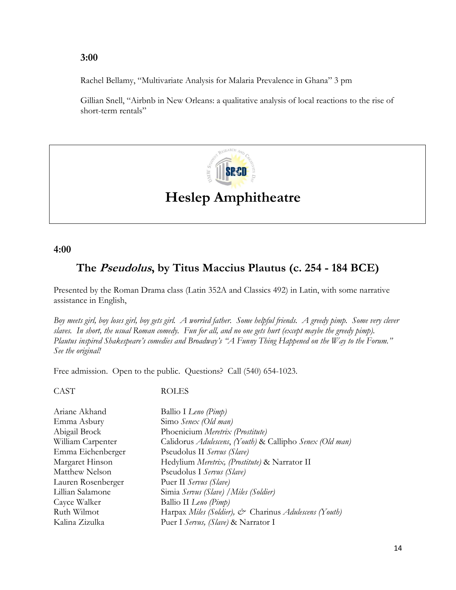### **3:00**

Rachel Bellamy, "Multivariate Analysis for Malaria Prevalence in Ghana" 3 pm

Gillian Snell, "Airbnb in New Orleans: a qualitative analysis of local reactions to the rise of short-term rentals"



## **Heslep Amphitheatre**

## **4:00**

## **The Pseudolus, by Titus Maccius Plautus (c. 254 - 184 BCE)**

Presented by the Roman Drama class (Latin 352A and Classics 492) in Latin, with some narrative assistance in English,

*Boy meets girl, boy loses girl, boy gets girl. A worried father. Some helpful friends. A greedy pimp. Some very clever slaves. In short, the usual Roman comedy. Fun for all, and no one gets hurt (except maybe the greedy pimp). Plautus inspired Shakespeare's comedies and Broadway's "A Funny Thing Happened on the Way to the Forum." See the original!*

Free admission. Open to the public. Questions? Call (540) 654-1023.

CAST ROLES

| Ariane Akhand      | Ballio I Leno (Pimp)                                     |
|--------------------|----------------------------------------------------------|
| Emma Asbury        | Simo Senex (Old man)                                     |
| Abigail Brock      | Phoenicium Meretrix (Prostitute)                         |
| William Carpenter  | Calidorus Adulescens, (Youth) & Callipho Senex (Old man) |
| Emma Eichenberger  | Pseudolus II Servus (Slave)                              |
| Margaret Hinson    | Hedylium Meretrix, (Prostitute) & Narrator II            |
| Matthew Nelson     | Pseudolus I Servus (Slave)                               |
| Lauren Rosenberger | Puer II Servus (Slave)                                   |
| Lillian Salamone   | Simia Servus (Slave) / Miles (Soldier)                   |
| Cayce Walker       | Ballio II Leno (Pimp)                                    |
| Ruth Wilmot        | Harpax Miles (Soldier), & Charinus Adulescens (Youth)    |
| Kalina Zizulka     | Puer I Servus, (Slave) & Narrator I                      |
|                    |                                                          |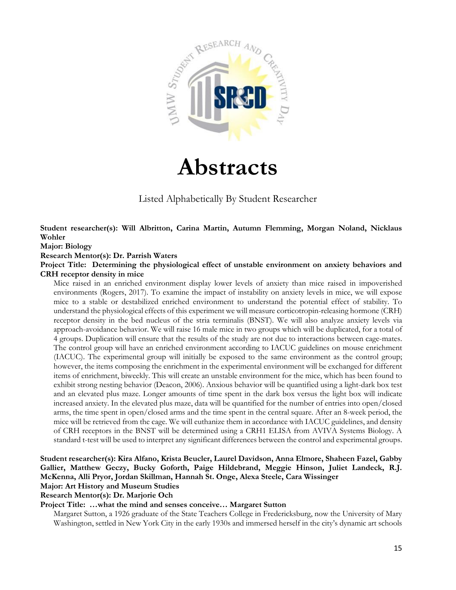

# **Abstracts**

Listed Alphabetically By Student Researcher

**Student researcher(s): Will Albritton, Carina Martin, Autumn Flemming, Morgan Noland, Nicklaus Wohler** 

#### **Major: Biology**

#### **Research Mentor(s): Dr. Parrish Waters**

**Project Title: Determining the physiological effect of unstable environment on anxiety behaviors and CRH receptor density in mice** 

Mice raised in an enriched environment display lower levels of anxiety than mice raised in impoverished environments (Rogers, 2017). To examine the impact of instability on anxiety levels in mice, we will expose mice to a stable or destabilized enriched environment to understand the potential effect of stability. To understand the physiological effects of this experiment we will measure corticotropin-releasing hormone (CRH) receptor density in the bed nucleus of the stria terminalis (BNST). We will also analyze anxiety levels via approach-avoidance behavior. We will raise 16 male mice in two groups which will be duplicated, for a total of 4 groups. Duplication will ensure that the results of the study are not due to interactions between cage-mates. The control group will have an enriched environment according to IACUC guidelines on mouse enrichment (IACUC). The experimental group will initially be exposed to the same environment as the control group; however, the items composing the enrichment in the experimental environment will be exchanged for different items of enrichment, biweekly. This will create an unstable environment for the mice, which has been found to exhibit strong nesting behavior (Deacon, 2006). Anxious behavior will be quantified using a light-dark box test and an elevated plus maze. Longer amounts of time spent in the dark box versus the light box will indicate increased anxiety. In the elevated plus maze, data will be quantified for the number of entries into open/closed arms, the time spent in open/closed arms and the time spent in the central square. After an 8-week period, the mice will be retrieved from the cage. We will euthanize them in accordance with IACUC guidelines, and density of CRH receptors in the BNST will be determined using a CRH1 ELISA from AVIVA Systems Biology. A standard t-test will be used to interpret any significant differences between the control and experimental groups.

#### **Student researcher(s): Kira Alfano, Krista Beucler, Laurel Davidson, Anna Elmore, Shaheen Fazel, Gabby Gallier, Matthew Geczy, Bucky Goforth, Paige Hildebrand, Meggie Hinson, Juliet Landeck, R.J. McKenna, Alli Pryor, Jordan Skillman, Hannah St. Onge, Alexa Steele, Cara Wissinger Major: Art History and Museum Studies**

## **Research Mentor(s): Dr. Marjorie Och**

#### **Project Title: …what the mind and senses conceive… Margaret Sutton**

Margaret Sutton, a 1926 graduate of the State Teachers College in Fredericksburg, now the University of Mary Washington, settled in New York City in the early 1930s and immersed herself in the city's dynamic art schools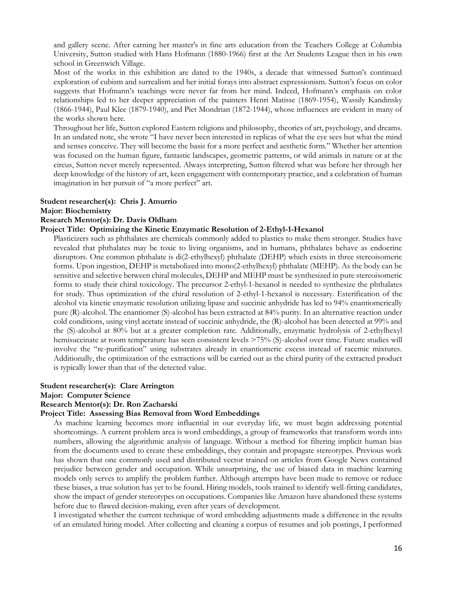and gallery scene. After earning her master's in fine arts education from the Teachers College at Columbia University, Sutton studied with Hans Hofmann (1880-1966) first at the Art Students League then in his own school in Greenwich Village.

Most of the works in this exhibition are dated to the 1940s, a decade that witnessed Sutton's continued exploration of cubism and surrealism and her initial forays into abstract expressionism. Sutton's focus on color suggests that Hofmann's teachings were never far from her mind. Indeed, Hofmann's emphasis on color relationships led to her deeper appreciation of the painters Henri Matisse (1869-1954), Wassily Kandinsky (1866-1944), Paul Klee (1879-1940), and Piet Mondrian (1872-1944), whose influences are evident in many of the works shown here.

Throughout her life, Sutton explored Eastern religions and philosophy, theories of art, psychology, and dreams. In an undated note, she wrote "I have never been interested in replicas of what the eye sees but what the mind and senses conceive. They will become the basis for a more perfect and aesthetic form." Whether her attention was focused on the human figure, fantastic landscapes, geometric patterns, or wild animals in nature or at the circus, Sutton never merely represented. Always interpreting, Sutton filtered what was before her through her deep knowledge of the history of art, keen engagement with contemporary practice, and a celebration of human imagination in her pursuit of "a more perfect" art.

#### **Student researcher(s): Chris J. Amurrio**

**Major: Biochemistry** 

#### **Research Mentor(s): Dr. Davis Oldham**

#### **Project Title: Optimizing the Kinetic Enzymatic Resolution of 2-Ethyl-1-Hexanol**

Plasticizers such as phthalates are chemicals commonly added to plastics to make them stronger. Studies have revealed that phthalates may be toxic to living organisms, and in humans, phthalates behave as endocrine disruptors. One common phthalate is di(2-ethylhexyl) phthalate (DEHP) which exists in three stereoisomeric forms. Upon ingestion, DEHP is metabolized into mono(2-ethylhexyl) phthalate (MEHP). As the body can be sensitive and selective between chiral molecules, DEHP and MEHP must be synthesized in pure stereoisomeric forms to study their chiral toxicology. The precursor 2-ethyl-1-hexanol is needed to synthesize the phthalates for study. Thus optimization of the chiral resolution of 2-ethyl-1-hexanol is necessary. Esterification of the alcohol via kinetic enzymatic resolution utilizing lipase and succinic anhydride has led to 94% enantiomerically pure (R)-alcohol. The enantiomer (S)-alcohol has been extracted at 84% purity. In an alternative reaction under cold conditions, using vinyl acetate instead of succinic anhydride, the (R)-alcohol has been detected at 99% and the (S)-alcohol at 80% but at a greater completion rate. Additionally, enzymatic hydrolysis of 2-ethylhexyl hemisuccinate at room temperature has seen consistent levels >75% (S)-alcohol over time. Future studies will involve the "re-purification" using substrates already in enantiomeric excess instead of racemic mixtures. Additionally, the optimization of the extractions will be carried out as the chiral purity of the extracted product is typically lower than that of the detected value.

#### **Student researcher(s): Clare Arrington**

**Major: Computer Science**

#### **Research Mentor(s): Dr. Ron Zacharski**

#### **Project Title: Assessing Bias Removal from Word Embeddings**

As machine learning becomes more influential in our everyday life, we must begin addressing potential shortcomings. A current problem area is word embeddings, a group of frameworks that transform words into numbers, allowing the algorithmic analysis of language. Without a method for filtering implicit human bias from the documents used to create these embeddings, they contain and propagate stereotypes. Previous work has shown that one commonly used and distributed vector trained on articles from Google News contained prejudice between gender and occupation. While unsurprising, the use of biased data in machine learning models only serves to amplify the problem further. Although attempts have been made to remove or reduce these biases, a true solution has yet to be found. Hiring models, tools trained to identify well-fitting candidates, show the impact of gender stereotypes on occupations. Companies like Amazon have abandoned these systems before due to flawed decision-making, even after years of development.

I investigated whether the current technique of word embedding adjustments made a difference in the results of an emulated hiring model. After collecting and cleaning a corpus of resumes and job postings, I performed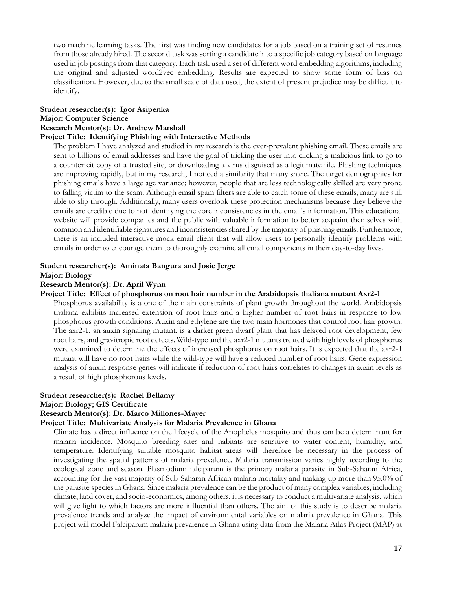two machine learning tasks. The first was finding new candidates for a job based on a training set of resumes from those already hired. The second task was sorting a candidate into a specific job category based on language used in job postings from that category. Each task used a set of different word embedding algorithms, including the original and adjusted word2vec embedding. Results are expected to show some form of bias on classification. However, due to the small scale of data used, the extent of present prejudice may be difficult to identify.

#### **Student researcher(s): Igor Asipenka Major: Computer Science**

#### **Research Mentor(s): Dr. Andrew Marshall**

#### **Project Title: Identifying Phishing with Interactive Methods**

The problem I have analyzed and studied in my research is the ever-prevalent phishing email. These emails are sent to billions of email addresses and have the goal of tricking the user into clicking a malicious link to go to a counterfeit copy of a trusted site, or downloading a virus disguised as a legitimate file. Phishing techniques are improving rapidly, but in my research, I noticed a similarity that many share. The target demographics for phishing emails have a large age variance; however, people that are less technologically skilled are very prone to falling victim to the scam. Although email spam filters are able to catch some of these emails, many are still able to slip through. Additionally, many users overlook these protection mechanisms because they believe the emails are credible due to not identifying the core inconsistencies in the email's information. This educational website will provide companies and the public with valuable information to better acquaint themselves with common and identifiable signatures and inconsistencies shared by the majority of phishing emails. Furthermore, there is an included interactive mock email client that will allow users to personally identify problems with emails in order to encourage them to thoroughly examine all email components in their day-to-day lives.

#### **Student researcher(s): Aminata Bangura and Josie Jerge Major: Biology**

#### **Research Mentor(s): Dr. April Wynn**

#### **Project Title: Effect of phosphorus on root hair number in the Arabidopsis thaliana mutant Axr2-1**

Phosphorus availability is a one of the main constraints of plant growth throughout the world. Arabidopsis thaliana exhibits increased extension of root hairs and a higher number of root hairs in response to low phosphorus growth conditions. Auxin and ethylene are the two main hormones that control root hair growth. The axr2-1, an auxin signaling mutant, is a darker green dwarf plant that has delayed root development, few root hairs, and gravitropic root defects. Wild-type and the axr2-1 mutants treated with high levels of phosphorus were examined to determine the effects of increased phosphorus on root hairs. It is expected that the axr2-1 mutant will have no root hairs while the wild-type will have a reduced number of root hairs. Gene expression analysis of auxin response genes will indicate if reduction of root hairs correlates to changes in auxin levels as a result of high phosphorous levels.

#### **Student researcher(s): Rachel Bellamy**

#### **Major: Biology; GIS Certificate**

#### **Research Mentor(s): Dr. Marco Millones-Mayer**

#### **Project Title: Multivariate Analysis for Malaria Prevalence in Ghana**

Climate has a direct influence on the lifecycle of the Anopheles mosquito and thus can be a determinant for malaria incidence. Mosquito breeding sites and habitats are sensitive to water content, humidity, and temperature. Identifying suitable mosquito habitat areas will therefore be necessary in the process of investigating the spatial patterns of malaria prevalence. Malaria transmission varies highly according to the ecological zone and season. Plasmodium falciparum is the primary malaria parasite in Sub-Saharan Africa, accounting for the vast majority of Sub-Saharan African malaria mortality and making up more than 95.0% of the parasite species in Ghana. Since malaria prevalence can be the product of many complex variables, including climate, land cover, and socio-economics, among others, it is necessary to conduct a multivariate analysis, which will give light to which factors are more influential than others. The aim of this study is to describe malaria prevalence trends and analyze the impact of environmental variables on malaria prevalence in Ghana. This project will model Falciparum malaria prevalence in Ghana using data from the Malaria Atlas Project (MAP) at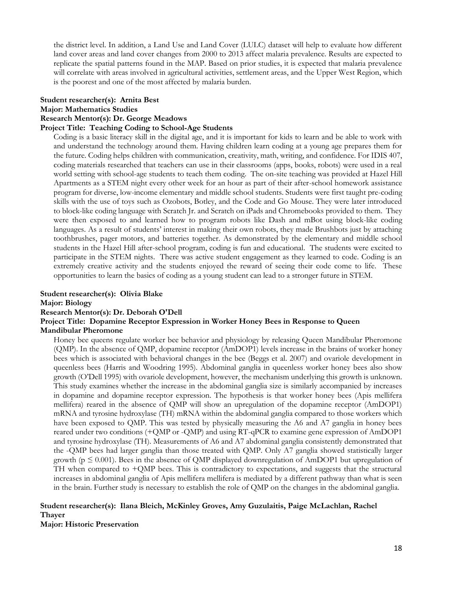the district level. In addition, a Land Use and Land Cover (LULC) dataset will help to evaluate how different land cover areas and land cover changes from 2000 to 2013 affect malaria prevalence. Results are expected to replicate the spatial patterns found in the MAP. Based on prior studies, it is expected that malaria prevalence will correlate with areas involved in agricultural activities, settlement areas, and the Upper West Region, which is the poorest and one of the most affected by malaria burden.

#### **Student researcher(s): Arnita Best**

**Major: Mathematics Studies** 

#### **Research Mentor(s): Dr. George Meadows**

#### **Project Title: Teaching Coding to School-Age Students**

Coding is a basic literacy skill in the digital age, and it is important for kids to learn and be able to work with and understand the technology around them. Having children learn coding at a young age prepares them for the future. Coding helps children with communication, creativity, math, writing, and confidence. For IDIS 407, coding materials researched that teachers can use in their classrooms (apps, books, robots) were used in a real world setting with school-age students to teach them coding. The on-site teaching was provided at Hazel Hill Apartments as a STEM night every other week for an hour as part of their after-school homework assistance program for diverse, low-income elementary and middle school students. Students were first taught pre-coding skills with the use of toys such as Ozobots, Botley, and the Code and Go Mouse. They were later introduced to block-like coding language with Scratch Jr. and Scratch on iPads and Chromebooks provided to them. They were then exposed to and learned how to program robots like Dash and mBot using block-like coding languages. As a result of students' interest in making their own robots, they made Brushbots just by attaching toothbrushes, pager motors, and batteries together. As demonstrated by the elementary and middle school students in the Hazel Hill after-school program, coding is fun and educational. The students were excited to participate in the STEM nights. There was active student engagement as they learned to code. Coding is an extremely creative activity and the students enjoyed the reward of seeing their code come to life. These opportunities to learn the basics of coding as a young student can lead to a stronger future in STEM.

## **Student researcher(s): Olivia Blake**

**Major: Biology** 

#### **Research Mentor(s): Dr. Deborah O'Dell**

#### **Project Title: Dopamine Receptor Expression in Worker Honey Bees in Response to Queen Mandibular Pheromone**

Honey bee queens regulate worker bee behavior and physiology by releasing Queen Mandibular Pheromone (QMP). In the absence of QMP, dopamine receptor (AmDOP1) levels increase in the brains of worker honey bees which is associated with behavioral changes in the bee (Beggs et al. 2007) and ovariole development in queenless bees (Harris and Woodring 1995). Abdominal ganglia in queenless worker honey bees also show growth (O'Dell 1995) with ovariole development, however, the mechanism underlying this growth is unknown. This study examines whether the increase in the abdominal ganglia size is similarly accompanied by increases in dopamine and dopamine receptor expression. The hypothesis is that worker honey bees (Apis mellifera mellifera) reared in the absence of QMP will show an upregulation of the dopamine receptor (AmDOP1) mRNA and tyrosine hydroxylase (TH) mRNA within the abdominal ganglia compared to those workers which have been exposed to QMP. This was tested by physically measuring the A6 and A7 ganglia in honey bees reared under two conditions (+QMP or -QMP) and using RT-qPCR to examine gene expression of AmDOP1 and tyrosine hydroxylase (TH). Measurements of A6 and A7 abdominal ganglia consistently demonstrated that the -QMP bees had larger ganglia than those treated with QMP. Only A7 ganglia showed statistically larger growth ( $p \le 0.001$ ). Bees in the absence of QMP displayed downregulation of AmDOP1 but upregulation of TH when compared to +QMP bees. This is contradictory to expectations, and suggests that the structural increases in abdominal ganglia of Apis mellifera mellifera is mediated by a different pathway than what is seen in the brain. Further study is necessary to establish the role of QMP on the changes in the abdominal ganglia.

#### **Student researcher(s): Ilana Bleich, McKinley Groves, Amy Guzulaitis, Paige McLachlan, Rachel Thayer**

**Major: Historic Preservation**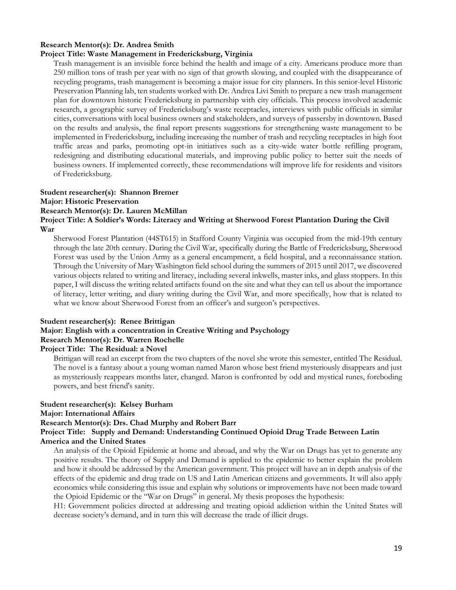#### **Research Mentor(s): Dr. Andrea Smith**

#### **Project Title: Waste Management in Fredericksburg, Virginia**

Trash management is an invisible force behind the health and image of a city. Americans produce more than 250 million tons of trash per year with no sign of that growth slowing, and coupled with the disappearance of recycling programs, trash management is becoming a major issue for city planners. In this senior-level Historic Preservation Planning lab, ten students worked with Dr. Andrea Livi Smith to prepare a new trash management plan for downtown historic Fredericksburg in partnership with city officials. This process involved academic research, a geographic survey of Fredericksburg's waste receptacles, interviews with public officials in similar cities, conversations with local business owners and stakeholders, and surveys of passersby in downtown. Based on the results and analysis, the final report presents suggestions for strengthening waste management to be implemented in Fredericksburg, including increasing the number of trash and recycling receptacles in high foot traffic areas and parks, promoting opt-in initiatives such as a city-wide water bottle refilling program, redesigning and distributing educational materials, and improving public policy to better suit the needs of business owners. If implemented correctly, these recommendations will improve life for residents and visitors of Fredericksburg.

#### **Student researcher(s): Shannon Bremer Major: Historic Preservation Research Mentor(s): Dr. Lauren McMillan Project Title: A Soldier's Words: Literacy and Writing at Sherwood Forest Plantation During the Civil War**

Sherwood Forest Plantation (44ST615) in Stafford County Virginia was occupied from the mid-19th century through the late 20th century. During the Civil War, specifically during the Battle of Fredericksburg, Sherwood Forest was used by the Union Army as a general encampment, a field hospital, and a reconnaissance station. Through the University of Mary Washington field school during the summers of 2015 until 2017, we discovered various objects related to writing and literacy, including several inkwells, master inks, and glass stoppers. In this paper, I will discuss the writing related artifacts found on the site and what they can tell us about the importance of literacy, letter writing, and diary writing during the Civil War, and more specifically, how that is related to what we know about Sherwood Forest from an officer's and surgeon's perspectives.

#### **Student researcher(s): Renee Brittigan Major: English with a concentration in Creative Writing and Psychology Research Mentor(s): Dr. Warren Rochelle Project Title: The Residual: a Novel**

Brittigan will read an excerpt from the two chapters of the novel she wrote this semester, entitled The Residual. The novel is a fantasy about a young woman named Maron whose best friend mysteriously disappears and just as mysteriously reappears months later, changed. Maron is confronted by odd and mystical runes, foreboding powers, and best friend's sanity.

#### **Student researcher(s): Kelsey Burham Major: International Affairs Research Mentor(s): Drs. Chad Murphy and Robert Barr Project Title: Supply and Demand: Understanding Continued Opioid Drug Trade Between Latin**

#### **America and the United States**

An analysis of the Opioid Epidemic at home and abroad, and why the War on Drugs has yet to generate any positive results. The theory of Supply and Demand is applied to the epidemic to better explain the problem and how it should be addressed by the American government. This project will have an in depth analysis of the effects of the epidemic and drug trade on US and Latin American citizens and governments. It will also apply economics while considering this issue and explain why solutions or improvements have not been made toward the Opioid Epidemic or the "War on Drugs" in general. My thesis proposes the hypothesis:

H1: Government policies directed at addressing and treating opioid addiction within the United States will decrease society's demand, and in turn this will decrease the trade of illicit drugs.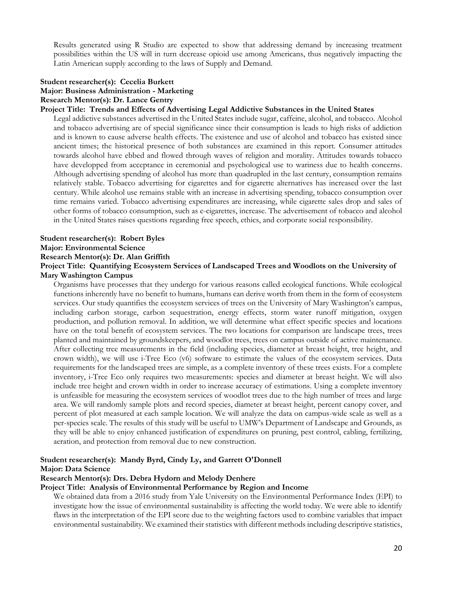Results generated using R Studio are expected to show that addressing demand by increasing treatment possibilities within the US will in turn decrease opioid use among Americans, thus negatively impacting the Latin American supply according to the laws of Supply and Demand.

#### **Student researcher(s): Cecelia Burkett Major: Business Administration - Marketing Research Mentor(s): Dr. Lance Gentry**

#### **Project Title: Trends and Effects of Advertising Legal Addictive Substances in the United States**

Legal addictive substances advertised in the United States include sugar, caffeine, alcohol, and tobacco. Alcohol and tobacco advertising are of special significance since their consumption is leads to high risks of addiction and is known to cause adverse health effects. The existence and use of alcohol and tobacco has existed since ancient times; the historical presence of both substances are examined in this report. Consumer attitudes towards alcohol have ebbed and flowed through waves of religion and morality. Attitudes towards tobacco have developped from acceptance in ceremonial and psychological use to wariness due to health concerns. Although advertising spending of alcohol has more than quadrupled in the last century, consumption remains relatively stable. Tobacco advertising for cigarettes and for cigarette alternatives has increased over the last century. While alcohol use remains stable with an increase in advertising spending, tobacco consumption over time remains varied. Tobacco advertising expenditures are increasing, while cigarette sales drop and sales of other forms of tobacco consumption, such as e-cigarettes, increase. The advertisement of tobacco and alcohol in the United States raises questions regarding free speech, ethics, and corporate social responsibility.

#### **Student researcher(s): Robert Byles**

#### **Major: Environmental Science**

#### **Research Mentor(s): Dr. Alan Griffith**

#### **Project Title: Quantifying Ecosystem Services of Landscaped Trees and Woodlots on the University of Mary Washington Campus**

Organisms have processes that they undergo for various reasons called ecological functions. While ecological functions inherently have no benefit to humans, humans can derive worth from them in the form of ecosystem services. Our study quantifies the ecosystem services of trees on the University of Mary Washington's campus, including carbon storage, carbon sequestration, energy effects, storm water runoff mitigation, oxygen production, and pollution removal. In addition, we will determine what effect specific species and locations have on the total benefit of ecosystem services. The two locations for comparison are landscape trees, trees planted and maintained by groundskeepers, and woodlot trees, trees on campus outside of active maintenance. After collecting tree measurements in the field (including species, diameter at breast height, tree height, and crown width), we will use i-Tree Eco (v6) software to estimate the values of the ecosystem services. Data requirements for the landscaped trees are simple, as a complete inventory of these trees exists. For a complete inventory, i-Tree Eco only requires two measurements: species and diameter at breast height. We will also include tree height and crown width in order to increase accuracy of estimations. Using a complete inventory is unfeasible for measuring the ecosystem services of woodlot trees due to the high number of trees and large area. We will randomly sample plots and record species, diameter at breast height, percent canopy cover, and percent of plot measured at each sample location. We will analyze the data on campus-wide scale as well as a per-species scale. The results of this study will be useful to UMW's Department of Landscape and Grounds, as they will be able to enjoy enhanced justification of expenditures on pruning, pest control, cabling, fertilizing, aeration, and protection from removal due to new construction.

### **Student researcher(s): Mandy Byrd, Cindy Ly, and Garrett O'Donnell**

#### **Major: Data Science**

#### **Research Mentor(s): Drs. Debra Hydorn and Melody Denhere**

#### **Project Title: Analysis of Environmental Performance by Region and Income**

We obtained data from a 2016 study from Yale University on the Environmental Performance Index (EPI) to investigate how the issue of environmental sustainability is affecting the world today. We were able to identify flaws in the interpretation of the EPI score due to the weighting factors used to combine variables that impact environmental sustainability. We examined their statistics with different methods including descriptive statistics,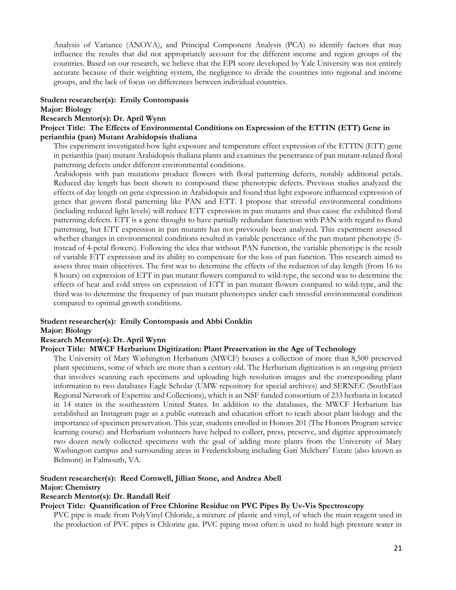Analysis of Variance (ANOVA), and Principal Component Analysis (PCA) to identify factors that may influence the results that did not appropriately account for the different income and region groups of the countries. Based on our research, we believe that the EPI score developed by Yale University was not entirely accurate because of their weighting system, the negligence to divide the countries into regional and income groups, and the lack of focus on differences between individual countries.

### **Student researcher(s): Emily Contompasis**

#### **Major: Biology**

#### **Research Mentor(s): Dr. April Wynn**

#### **Project Title: The Effects of Environmental Conditions on Expression of the ETTIN (ETT) Gene in perianthia (pan) Mutant Arabidopsis thaliana**

This experiment investigated how light exposure and temperature effect expression of the ETTIN (ETT) gene in perianthia (pan) mutant Arabidopsis thaliana plants and examines the penetrance of pan mutant-related floral patterning defects under different environmental conditions.

Arabidopsis with pan mutations produce flowers with floral patterning defects, notably additional petals. Reduced day length has been shown to compound these phenotypic defects. Previous studies analyzed the effects of day length on gene expression in Arabidopsis and found that light exposure influenced expression of genes that govern floral patterning like PAN and ETT. I propose that stressful environmental conditions (including reduced light levels) will reduce ETT expression in pan mutants and thus cause the exhibited floral patterning defects. ETT is a gene thought to have partially redundant function with PAN with regard to floral patterning, but ETT expression in pan mutants has not previously been analyzed. This experiment assessed whether changes in environmental conditions resulted in variable penetrance of the pan mutant phenotype (5 instead of 4-petal flowers). Following the idea that without PAN function, the variable phenotype is the result of variable ETT expression and its ability to compensate for the loss of pan function. This research aimed to assess three main objectives. The first was to determine the effects of the reduction of day length (from 16 to 8 hours) on expression of ETT in pan mutant flowers compared to wild-type, the second was to determine the effects of heat and cold stress on expression of ETT in pan mutant flowers compared to wild-type, and the third was to determine the frequency of pan mutant phenotypes under each stressful environmental condition compared to optimal growth conditions.

#### **Student researcher(s): Emily Contompasis and Abbi Conklin**

#### **Major: Biology**

#### **Research Mentor(s): Dr. April Wynn**

#### **Project Title: MWCF Herbarium Digitization: Plant Preservation in the Age of Technology**

The University of Mary Washington Herbarium (MWCF) houses a collection of more than 8,500 preserved plant specimens, some of which are more than a century old. The Herbarium digitization is an ongoing project that involves scanning each specimens and uploading high resolution images and the corresponding plant information to two databases Eagle Scholar (UMW repository for special archives) and SERNEC (SouthEast Regional Network of Expertise and Collections), which is an NSF funded consortium of 233 herbaria in located in 14 states in the southeastern United States. In addition to the databases, the MWCF Herbarium has established an Instagram page as a public outreach and education effort to teach about plant biology and the importance of specimen preservation. This year, students enrolled in Honors 201 (The Honors Program service learning course) and Herbarium volunteers have helped to collect, press, preserve, and digitize approximately two dozen newly collected specimens with the goal of adding more plants from the University of Mary Washington campus and surrounding areas in Fredericksburg including Gari Melchers' Estate (also known as Belmont) in Falmouth, VA.

#### **Student researcher(s): Reed Cornwell, Jillian Stone, and Andrea Abell**

#### **Major: Chemistry**

#### **Research Mentor(s): Dr. Randall Reif**

#### **Project Title: Quantification of Free Chlorine Residue on PVC Pipes By Uv-Vis Spectroscopy**

PVC pipe is made from PolyVinyl Chloride, a mixture of plastic and vinyl, of which the main reagent used in the production of PVC pipes is Chlorine gas. PVC piping most often is used to hold high pressure water in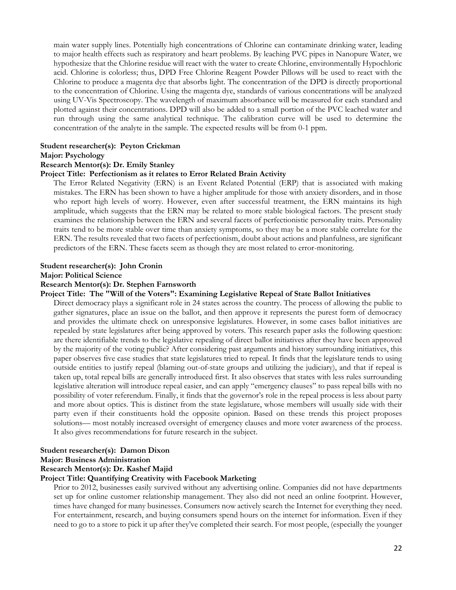main water supply lines. Potentially high concentrations of Chlorine can contaminate drinking water, leading to major health effects such as respiratory and heart problems. By leaching PVC pipes in Nanopure Water, we hypothesize that the Chlorine residue will react with the water to create Chlorine, environmentally Hypochloric acid. Chlorine is colorless; thus, DPD Free Chlorine Reagent Powder Pillows will be used to react with the Chlorine to produce a magenta dye that absorbs light. The concentration of the DPD is directly proportional to the concentration of Chlorine. Using the magenta dye, standards of various concentrations will be analyzed using UV-Vis Spectroscopy. The wavelength of maximum absorbance will be measured for each standard and plotted against their concentrations. DPD will also be added to a small portion of the PVC leached water and run through using the same analytical technique. The calibration curve will be used to determine the concentration of the analyte in the sample. The expected results will be from 0-1 ppm.

#### **Student researcher(s): Peyton Crickman**

#### **Major: Psychology**

#### **Research Mentor(s): Dr. Emily Stanley**

#### **Project Title: Perfectionism as it relates to Error Related Brain Activity**

The Error Related Negativity (ERN) is an Event Related Potential (ERP) that is associated with making mistakes. The ERN has been shown to have a higher amplitude for those with anxiety disorders, and in those who report high levels of worry. However, even after successful treatment, the ERN maintains its high amplitude, which suggests that the ERN may be related to more stable biological factors. The present study examines the relationship between the ERN and several facets of perfectionistic personality traits. Personality traits tend to be more stable over time than anxiety symptoms, so they may be a more stable correlate for the ERN. The results revealed that two facets of perfectionism, doubt about actions and planfulness, are significant predictors of the ERN. These facets seem as though they are most related to error-monitoring.

#### **Student researcher(s): John Cronin**

#### **Major: Political Science**

#### **Research Mentor(s): Dr. Stephen Farnsworth**

#### **Project Title: The "Will of the Voters": Examining Legislative Repeal of State Ballot Initiatives**

Direct democracy plays a significant role in 24 states across the country. The process of allowing the public to gather signatures, place an issue on the ballot, and then approve it represents the purest form of democracy and provides the ultimate check on unresponsive legislatures. However, in some cases ballot initiatives are repealed by state legislatures after being approved by voters. This research paper asks the following question: are there identifiable trends to the legislative repealing of direct ballot initiatives after they have been approved by the majority of the voting public? After considering past arguments and history surrounding initiatives, this paper observes five case studies that state legislatures tried to repeal. It finds that the legislature tends to using outside entities to justify repeal (blaming out-of-state groups and utilizing the judiciary), and that if repeal is taken up, total repeal bills are generally introduced first. It also observes that states with less rules surrounding legislative alteration will introduce repeal easier, and can apply "emergency clauses" to pass repeal bills with no possibility of voter referendum. Finally, it finds that the governor's role in the repeal process is less about party and more about optics. This is distinct from the state legislature, whose members will usually side with their party even if their constituents hold the opposite opinion. Based on these trends this project proposes solutions— most notably increased oversight of emergency clauses and more voter awareness of the process. It also gives recommendations for future research in the subject.

#### **Student researcher(s): Damon Dixon Major: Business Administration**

## **Research Mentor(s): Dr. Kashef Majid**

#### **Project Title: Quantifying Creativity with Facebook Marketing**

Prior to 2012, businesses easily survived without any advertising online. Companies did not have departments set up for online customer relationship management. They also did not need an online footprint. However, times have changed for many businesses. Consumers now actively search the Internet for everything they need. For entertainment, research, and buying consumers spend hours on the internet for information. Even if they need to go to a store to pick it up after they've completed their search. For most people, (especially the younger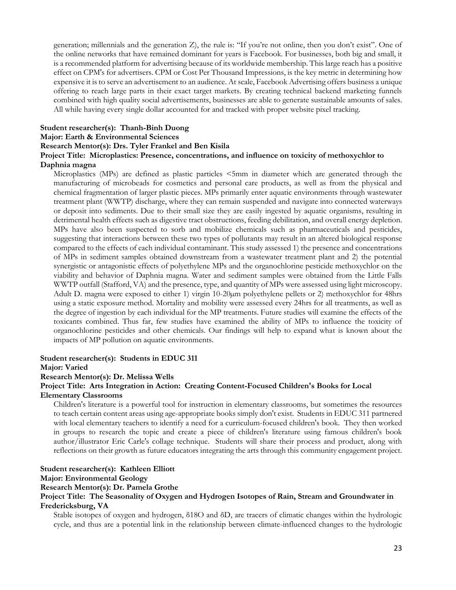generation; millennials and the generation Z), the rule is: "If you're not online, then you don't exist". One of the online networks that have remained dominant for years is Facebook. For businesses, both big and small, it is a recommended platform for advertising because of its worldwide membership. This large reach has a positive effect on CPM's for advertisers. CPM or Cost Per Thousand Impressions, is the key metric in determining how expensive it is to serve an advertisement to an audience. At scale, Facebook Advertising offers business a unique offering to reach large parts in their exact target markets. By creating technical backend marketing funnels combined with high quality social advertisements, businesses are able to generate sustainable amounts of sales. All while having every single dollar accounted for and tracked with proper website pixel tracking.

#### **Student researcher(s): Thanh-Binh Duong**

#### **Major: Earth & Environmental Sciences**

#### **Research Mentor(s): Drs. Tyler Frankel and Ben Kisila**

#### **Project Title: Microplastics: Presence, concentrations, and influence on toxicity of methoxychlor to Daphnia magna**

Microplastics (MPs) are defined as plastic particles <5mm in diameter which are generated through the manufacturing of microbeads for cosmetics and personal care products, as well as from the physical and chemical fragmentation of larger plastic pieces. MPs primarily enter aquatic environments through wastewater treatment plant (WWTP) discharge, where they can remain suspended and navigate into connected waterways or deposit into sediments. Due to their small size they are easily ingested by aquatic organisms, resulting in detrimental health effects such as digestive tract obstructions, feeding debilitation, and overall energy depletion. MPs have also been suspected to sorb and mobilize chemicals such as pharmaceuticals and pesticides, suggesting that interactions between these two types of pollutants may result in an altered biological response compared to the effects of each individual contaminant. This study assessed 1) the presence and concentrations of MPs in sediment samples obtained downstream from a wastewater treatment plant and 2) the potential synergistic or antagonistic effects of polyethylene MPs and the organochlorine pesticide methoxychlor on the viability and behavior of Daphnia magna. Water and sediment samples were obtained from the Little Falls WWTP outfall (Stafford, VA) and the presence, type, and quantity of MPs were assessed using light microscopy. Adult D. magna were exposed to either 1) virgin 10-20 $\mu$ m polyethylene pellets or 2) methoxychlor for 48hrs using a static exposure method. Mortality and mobility were assessed every 24hrs for all treatments, as well as the degree of ingestion by each individual for the MP treatments. Future studies will examine the effects of the toxicants combined. Thus far, few studies have examined the ability of MPs to influence the toxicity of organochlorine pesticides and other chemicals. Our findings will help to expand what is known about the impacts of MP pollution on aquatic environments.

#### **Student researcher(s): Students in EDUC 311**

#### **Major: Varied**

#### **Research Mentor(s): Dr. Melissa Wells**

#### **Project Title: Arts Integration in Action: Creating Content-Focused Children's Books for Local Elementary Classrooms**

Children's literature is a powerful tool for instruction in elementary classrooms, but sometimes the resources to teach certain content areas using age-appropriate books simply don't exist. Students in EDUC 311 partnered with local elementary teachers to identify a need for a curriculum-focused children's book. They then worked in groups to research the topic and create a piece of children's literature using famous children's book author/illustrator Eric Carle's collage technique. Students will share their process and product, along with reflections on their growth as future educators integrating the arts through this community engagement project.

#### **Student researcher(s): Kathleen Elliott**

#### **Major: Environmental Geology**

#### **Research Mentor(s): Dr. Pamela Grothe**

#### **Project Title: The Seasonality of Oxygen and Hydrogen Isotopes of Rain, Stream and Groundwater in Fredericksburg, VA**

Stable isotopes of oxygen and hydrogen, δ18O and δD, are tracers of climatic changes within the hydrologic cycle, and thus are a potential link in the relationship between climate-influenced changes to the hydrologic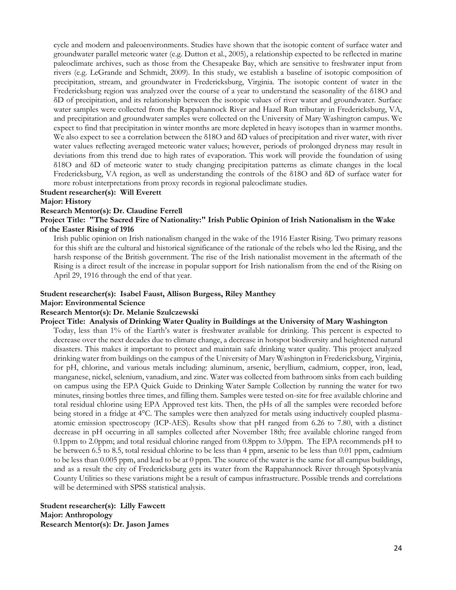cycle and modern and paleoenvironments. Studies have shown that the isotopic content of surface water and groundwater parallel meteoric water (e.g. Dutton et al., 2005), a relationship expected to be reflected in marine paleoclimate archives, such as those from the Chesapeake Bay, which are sensitive to freshwater input from rivers (e.g. LeGrande and Schmidt, 2009). In this study, we establish a baseline of isotopic composition of precipitation, stream, and groundwater in Fredericksburg, Virginia. The isotopic content of water in the Fredericksburg region was analyzed over the course of a year to understand the seasonality of the δ18O and δD of precipitation, and its relationship between the isotopic values of river water and groundwater. Surface water samples were collected from the Rappahannock River and Hazel Run tributary in Fredericksburg, VA, and precipitation and groundwater samples were collected on the University of Mary Washington campus. We expect to find that precipitation in winter months are more depleted in heavy isotopes than in warmer months. We also expect to see a correlation between the δ18O and δD values of precipitation and river water, with river water values reflecting averaged meteoric water values; however, periods of prolonged dryness may result in deviations from this trend due to high rates of evaporation. This work will provide the foundation of using δ18O and δD of meteoric water to study changing precipitation patterns as climate changes in the local Fredericksburg, VA region, as well as understanding the controls of the δ18O and δD of surface water for more robust interpretations from proxy records in regional paleoclimate studies.

#### **Student researcher(s): Will Everett Major: History**

#### **Research Mentor(s): Dr. Claudine Ferrell**

**Project Title: "The Sacred Fire of Nationality:" Irish Public Opinion of Irish Nationalism in the Wake of the Easter Rising of 1916** 

Irish public opinion on Irish nationalism changed in the wake of the 1916 Easter Rising. Two primary reasons for this shift are the cultural and historical significance of the rationale of the rebels who led the Rising, and the harsh response of the British government. The rise of the Irish nationalist movement in the aftermath of the Rising is a direct result of the increase in popular support for Irish nationalism from the end of the Rising on April 29, 1916 through the end of that year.

#### **Student researcher(s): Isabel Faust, Allison Burgess, Riley Manthey**

#### **Major: Environmental Science**

#### **Research Mentor(s): Dr. Melanie Szulczewski**

#### **Project Title: Analysis of Drinking Water Quality in Buildings at the University of Mary Washington**

Today, less than 1% of the Earth's water is freshwater available for drinking. This percent is expected to decrease over the next decades due to climate change, a decrease in hotspot biodiversity and heightened natural disasters. This makes it important to protect and maintain safe drinking water quality. This project analyzed drinking water from buildings on the campus of the University of Mary Washington in Fredericksburg, Virginia, for pH, chlorine, and various metals including: aluminum, arsenic, beryllium, cadmium, copper, iron, lead, manganese, nickel, selenium, vanadium, and zinc. Water was collected from bathroom sinks from each building on campus using the EPA Quick Guide to Drinking Water Sample Collection by running the water for two minutes, rinsing bottles three times, and filling them. Samples were tested on-site for free available chlorine and total residual chlorine using EPA Approved test kits. Then, the pHs of all the samples were recorded before being stored in a fridge at 4°C. The samples were then analyzed for metals using inductively coupled plasmaatomic emission spectroscopy (ICP-AES). Results show that pH ranged from 6.26 to 7.80, with a distinct decrease in pH occurring in all samples collected after November 18th; free available chlorine ranged from 0.1ppm to 2.0ppm; and total residual chlorine ranged from 0.8ppm to 3.0ppm. The EPA recommends pH to be between 6.5 to 8.5, total residual chlorine to be less than 4 ppm, arsenic to be less than 0.01 ppm, cadmium to be less than 0.005 ppm, and lead to be at 0 ppm. The source of the water is the same for all campus buildings, and as a result the city of Fredericksburg gets its water from the Rappahannock River through Spotsylvania County Utilities so these variations might be a result of campus infrastructure. Possible trends and correlations will be determined with SPSS statistical analysis.

**Student researcher(s): Lilly Fawcett Major: Anthropology Research Mentor(s): Dr. Jason James**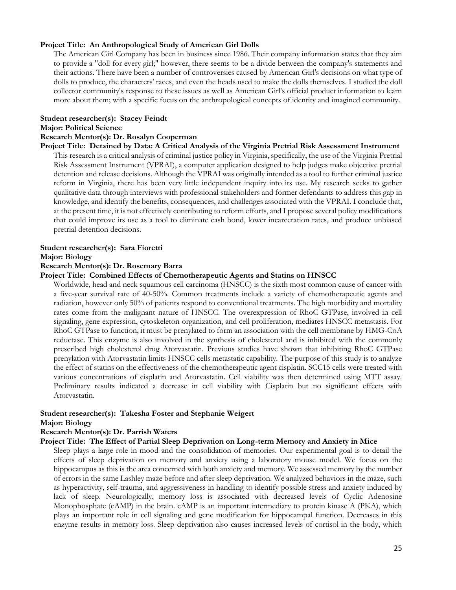#### **Project Title: An Anthropological Study of American Girl Dolls**

The American Girl Company has been in business since 1986. Their company information states that they aim to provide a "doll for every girl;" however, there seems to be a divide between the company's statements and their actions. There have been a number of controversies caused by American Girl's decisions on what type of dolls to produce, the characters' races, and even the heads used to make the dolls themselves. I studied the doll collector community's response to these issues as well as American Girl's official product information to learn more about them; with a specific focus on the anthropological concepts of identity and imagined community.

#### **Student researcher(s): Stacey Feindt**

#### **Major: Political Science**

#### **Research Mentor(s): Dr. Rosalyn Cooperman**

**Project Title: Detained by Data: A Critical Analysis of the Virginia Pretrial Risk Assessment Instrument**  This research is a critical analysis of criminal justice policy in Virginia, specifically, the use of the Virginia Pretrial Risk Assessment Instrument (VPRAI), a computer application designed to help judges make objective pretrial detention and release decisions. Although the VPRAI was originally intended as a tool to further criminal justice reform in Virginia, there has been very little independent inquiry into its use. My research seeks to gather qualitative data through interviews with professional stakeholders and former defendants to address this gap in knowledge, and identify the benefits, consequences, and challenges associated with the VPRAI. I conclude that, at the present time, it is not effectively contributing to reform efforts, and I propose several policy modifications that could improve its use as a tool to eliminate cash bond, lower incarceration rates, and produce unbiased pretrial detention decisions.

#### **Student researcher(s): Sara Fioretti**

#### **Major: Biology**

#### **Research Mentor(s): Dr. Rosemary Barra**

#### **Project Title: Combined Effects of Chemotherapeutic Agents and Statins on HNSCC**

Worldwide, head and neck squamous cell carcinoma (HNSCC) is the sixth most common cause of cancer with a five-year survival rate of 40-50%. Common treatments include a variety of chemotherapeutic agents and radiation, however only 50% of patients respond to conventional treatments. The high morbidity and mortality rates come from the malignant nature of HNSCC. The overexpression of RhoC GTPase, involved in cell signaling, gene expression, cytoskeleton organization, and cell proliferation, mediates HNSCC metastasis. For RhoC GTPase to function, it must be prenylated to form an association with the cell membrane by HMG-CoA reductase. This enzyme is also involved in the synthesis of cholesterol and is inhibited with the commonly prescribed high cholesterol drug Atorvastatin. Previous studies have shown that inhibiting RhoC GTPase prenylation with Atorvastatin limits HNSCC cells metastatic capability. The purpose of this study is to analyze the effect of statins on the effectiveness of the chemotherapeutic agent cisplatin. SCC15 cells were treated with various concentrations of cisplatin and Atorvastatin. Cell viability was then determined using MTT assay. Preliminary results indicated a decrease in cell viability with Cisplatin but no significant effects with Atorvastatin.

## **Student researcher(s): Takesha Foster and Stephanie Weigert**

### **Major: Biology**

#### **Research Mentor(s): Dr. Parrish Waters**

#### **Project Title: The Effect of Partial Sleep Deprivation on Long-term Memory and Anxiety in Mice**

Sleep plays a large role in mood and the consolidation of memories. Our experimental goal is to detail the effects of sleep deprivation on memory and anxiety using a laboratory mouse model. We focus on the hippocampus as this is the area concerned with both anxiety and memory. We assessed memory by the number of errors in the same Lashley maze before and after sleep deprivation. We analyzed behaviors in the maze, such as hyperactivity, self-trauma, and aggressiveness in handling to identify possible stress and anxiety induced by lack of sleep. Neurologically, memory loss is associated with decreased levels of Cyclic Adenosine Monophosphate (cAMP) in the brain. cAMP is an important intermediary to protein kinase A (PKA), which plays an important role in cell signaling and gene modification for hippocampal function. Decreases in this enzyme results in memory loss. Sleep deprivation also causes increased levels of cortisol in the body, which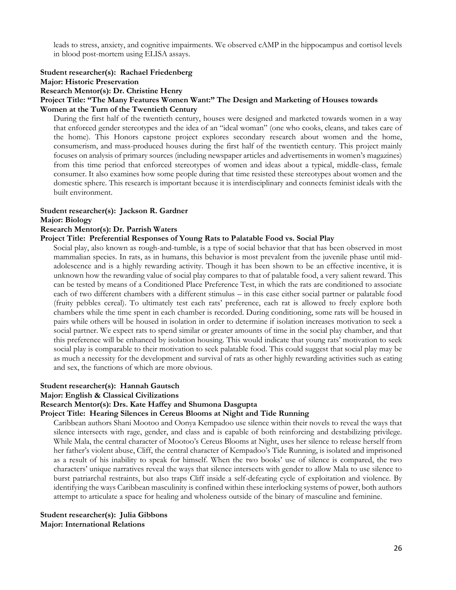leads to stress, anxiety, and cognitive impairments. We observed cAMP in the hippocampus and cortisol levels in blood post-mortem using ELISA assays.

## **Student researcher(s): Rachael Friedenberg**

### **Major: Historic Preservation**

**Research Mentor(s): Dr. Christine Henry** 

## **Project Title: "The Many Features Women Want:" The Design and Marketing of Houses towards**

#### **Women at the Turn of the Twentieth Century**

During the first half of the twentieth century, houses were designed and marketed towards women in a way that enforced gender stereotypes and the idea of an "ideal woman" (one who cooks, cleans, and takes care of the home). This Honors capstone project explores secondary research about women and the home, consumerism, and mass-produced houses during the first half of the twentieth century. This project mainly focuses on analysis of primary sources (including newspaper articles and advertisements in women's magazines) from this time period that enforced stereotypes of women and ideas about a typical, middle-class, female consumer. It also examines how some people during that time resisted these stereotypes about women and the domestic sphere. This research is important because it is interdisciplinary and connects feminist ideals with the built environment.

#### **Student researcher(s): Jackson R. Gardner**

#### **Major: Biology**

#### **Research Mentor(s): Dr. Parrish Waters**

#### **Project Title: Preferential Responses of Young Rats to Palatable Food vs. Social Play**

Social play, also known as rough-and-tumble, is a type of social behavior that that has been observed in most mammalian species. In rats, as in humans, this behavior is most prevalent from the juvenile phase until midadolescence and is a highly rewarding activity. Though it has been shown to be an effective incentive, it is unknown how the rewarding value of social play compares to that of palatable food, a very salient reward. This can be tested by means of a Conditioned Place Preference Test, in which the rats are conditioned to associate each of two different chambers with a different stimulus – in this case either social partner or palatable food (fruity pebbles cereal). To ultimately test each rats' preference, each rat is allowed to freely explore both chambers while the time spent in each chamber is recorded. During conditioning, some rats will be housed in pairs while others will be housed in isolation in order to determine if isolation increases motivation to seek a social partner. We expect rats to spend similar or greater amounts of time in the social play chamber, and that this preference will be enhanced by isolation housing. This would indicate that young rats' motivation to seek social play is comparable to their motivation to seek palatable food. This could suggest that social play may be as much a necessity for the development and survival of rats as other highly rewarding activities such as eating and sex, the functions of which are more obvious.

#### **Student researcher(s): Hannah Gautsch**

#### **Major: English & Classical Civilizations**

#### **Research Mentor(s): Drs. Kate Haffey and Shumona Dasgupta**

#### **Project Title: Hearing Silences in Cereus Blooms at Night and Tide Running**

Caribbean authors Shani Mootoo and Oonya Kempadoo use silence within their novels to reveal the ways that silence intersects with rage, gender, and class and is capable of both reinforcing and destabilizing privilege. While Mala, the central character of Mootoo's Cereus Blooms at Night, uses her silence to release herself from her father's violent abuse, Cliff, the central character of Kempadoo's Tide Running, is isolated and imprisoned as a result of his inability to speak for himself. When the two books' use of silence is compared, the two characters' unique narratives reveal the ways that silence intersects with gender to allow Mala to use silence to burst patriarchal restraints, but also traps Cliff inside a self-defeating cycle of exploitation and violence. By identifying the ways Caribbean masculinity is confined within these interlocking systems of power, both authors attempt to articulate a space for healing and wholeness outside of the binary of masculine and feminine.

**Student researcher(s): Julia Gibbons Major: International Relations**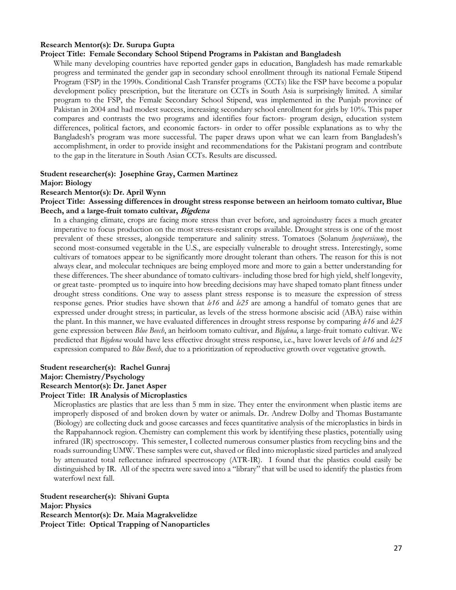#### **Research Mentor(s): Dr. Surupa Gupta**

#### **Project Title: Female Secondary School Stipend Programs in Pakistan and Bangladesh**

While many developing countries have reported gender gaps in education, Bangladesh has made remarkable progress and terminated the gender gap in secondary school enrollment through its national Female Stipend Program (FSP) in the 1990s. Conditional Cash Transfer programs (CCTs) like the FSP have become a popular development policy prescription, but the literature on CCTs in South Asia is surprisingly limited. A similar program to the FSP, the Female Secondary School Stipend, was implemented in the Punjab province of Pakistan in 2004 and had modest success, increasing secondary school enrollment for girls by 10%. This paper compares and contrasts the two programs and identifies four factors- program design, education system differences, political factors, and economic factors- in order to offer possible explanations as to why the Bangladesh's program was more successful. The paper draws upon what we can learn from Bangladesh's accomplishment, in order to provide insight and recommendations for the Pakistani program and contribute to the gap in the literature in South Asian CCTs. Results are discussed.

#### **Student researcher(s): Josephine Gray, Carmen Martinez**

#### **Major: Biology**

#### **Research Mentor(s): Dr. April Wynn**

#### **Project Title: Assessing differences in drought stress response between an heirloom tomato cultivar, Blue Beech, and a large-fruit tomato cultivar, Bigdena**

In a changing climate, crops are facing more stress than ever before, and agroindustry faces a much greater imperative to focus production on the most stress-resistant crops available. Drought stress is one of the most prevalent of these stresses, alongside temperature and salinity stress. Tomatoes (Solanum *lycopersicum*), the second most-consumed vegetable in the U.S., are especially vulnerable to drought stress. Interestingly, some cultivars of tomatoes appear to be significantly more drought tolerant than others. The reason for this is not always clear, and molecular techniques are being employed more and more to gain a better understanding for these differences. The sheer abundance of tomato cultivars- including those bred for high yield, shelf longevity, or great taste- prompted us to inquire into how breeding decisions may have shaped tomato plant fitness under drought stress conditions. One way to assess plant stress response is to measure the expression of stress response genes. Prior studies have shown that *le16* and *le25* are among a handful of tomato genes that are expressed under drought stress; in particular, as levels of the stress hormone abscisic acid (ABA) raise within the plant. In this manner, we have evaluated differences in drought stress response by comparing *le16* and *le25* gene expression between *Blue Beech*, an heirloom tomato cultivar, and *Bigdena*, a large-fruit tomato cultivar. We predicted that *Bigdena* would have less effective drought stress response, i.e., have lower levels of *le16* and *le25* expression compared to *Blue Beech*, due to a prioritization of reproductive growth over vegetative growth.

#### **Student researcher(s): Rachel Gunraj Major: Chemistry/Psychology Research Mentor(s): Dr. Janet Asper Project Title: IR Analysis of Microplastics**

Microplastics are plastics that are less than 5 mm in size. They enter the environment when plastic items are improperly disposed of and broken down by water or animals. Dr. Andrew Dolby and Thomas Bustamante (Biology) are collecting duck and goose carcasses and feces quantitative analysis of the microplastics in birds in the Rappahannock region. Chemistry can complement this work by identifying these plastics, potentially using infrared (IR) spectroscopy. This semester, I collected numerous consumer plastics from recycling bins and the roads surrounding UMW. These samples were cut, shaved or filed into microplastic sized particles and analyzed by attenuated total reflectance infrared spectroscopy (ATR-IR). I found that the plastics could easily be distinguished by IR. All of the spectra were saved into a "library" that will be used to identify the plastics from waterfowl next fall.

**Student researcher(s): Shivani Gupta Major: Physics Research Mentor(s): Dr. Maia Magrakvelidze Project Title: Optical Trapping of Nanoparticles**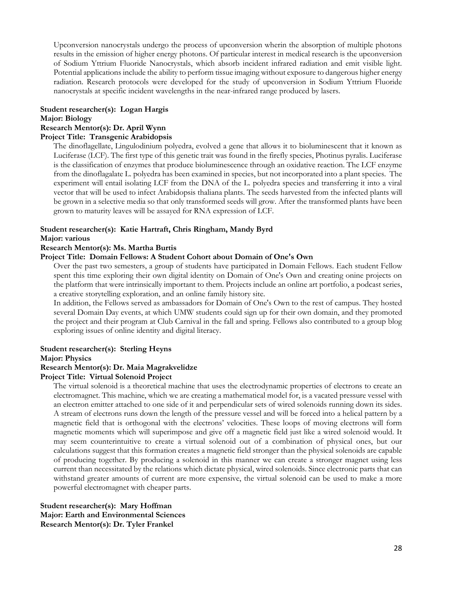Upconversion nanocrystals undergo the process of upconversion wherin the absorption of multiple photons results in the emission of higher energy photons. Of particular interest in medical research is the upconversion of Sodium Yttrium Fluoride Nanocrystals, which absorb incident infrared radiation and emit visible light. Potential applications include the ability to perform tissue imaging without exposure to dangerous higher energy radiation. Research protocols were developed for the study of upconversion in Sodium Yttrium Fluoride nanocrystals at specific incident wavelengths in the near-infrared range produced by lasers.

#### **Student researcher(s): Logan Hargis Major: Biology Research Mentor(s): Dr. April Wynn**

## **Project Title: Transgenic Arabidopsis**

The dinoflagellate, Lingulodinium polyedra, evolved a gene that allows it to bioluminescent that it known as Luciferase (LCF). The first type of this genetic trait was found in the firefly species, Photinus pyralis. Luciferase is the classification of enzymes that produce bioluminescence through an oxidative reaction. The LCF enzyme from the dinoflagalate L. polyedra has been examined in species, but not incorporated into a plant species. The experiment will entail isolating LCF from the DNA of the L. polyedra species and transferring it into a viral vector that will be used to infect Arabidopsis thaliana plants. The seeds harvested from the infected plants will be grown in a selective media so that only transformed seeds will grow. After the transformed plants have been grown to maturity leaves will be assayed for RNA expression of LCF.

### **Student researcher(s): Katie Hartraft, Chris Ringham, Mandy Byrd**

#### **Major: various**

#### **Research Mentor(s): Ms. Martha Burtis**

#### **Project Title: Domain Fellows: A Student Cohort about Domain of One's Own**

Over the past two semesters, a group of students have participated in Domain Fellows. Each student Fellow spent this time exploring their own digital identity on Domain of One's Own and creating onine projects on the platform that were intrinsically important to them. Projects include an online art portfolio, a podcast series, a creative storytelling exploration, and an online family history site.

In addition, the Fellows served as ambassadors for Domain of One's Own to the rest of campus. They hosted several Domain Day events, at which UMW students could sign up for their own domain, and they promoted the project and their program at Club Carnival in the fall and spring. Fellows also contributed to a group blog exploring issues of online identity and digital literacy.

#### **Student researcher(s): Sterling Heyns**

#### **Major: Physics**

#### **Research Mentor(s): Dr. Maia Magrakvelidze**

#### **Project Title: Virtual Solenoid Project**

The virtual solenoid is a theoretical machine that uses the electrodynamic properties of electrons to create an electromagnet. This machine, which we are creating a mathematical model for, is a vacated pressure vessel with an electron emitter attached to one side of it and perpendicular sets of wired solenoids running down its sides. A stream of electrons runs down the length of the pressure vessel and will be forced into a helical pattern by a magnetic field that is orthogonal with the electrons' velocities. These loops of moving electrons will form magnetic moments which will superimpose and give off a magnetic field just like a wired solenoid would. It may seem counterintuitive to create a virtual solenoid out of a combination of physical ones, but our calculations suggest that this formation creates a magnetic field stronger than the physical solenoids are capable of producing together. By producing a solenoid in this manner we can create a stronger magnet using less current than necessitated by the relations which dictate physical, wired solenoids. Since electronic parts that can withstand greater amounts of current are more expensive, the virtual solenoid can be used to make a more powerful electromagnet with cheaper parts.

**Student researcher(s): Mary Hoffman Major: Earth and Environmental Sciences Research Mentor(s): Dr. Tyler Frankel**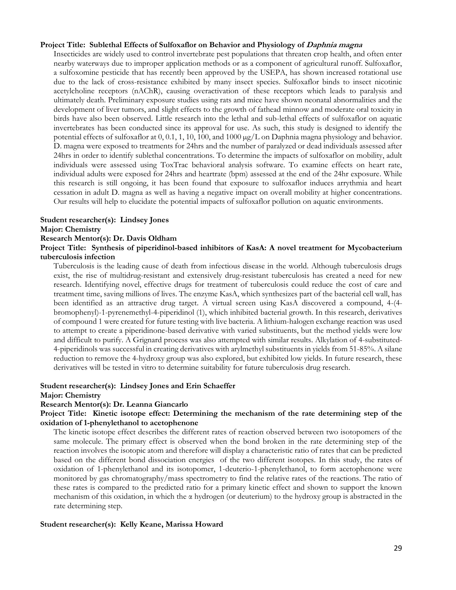#### **Project Title: Sublethal Effects of Sulfoxaflor on Behavior and Physiology of Daphnia magna**

Insecticides are widely used to control invertebrate pest populations that threaten crop health, and often enter nearby waterways due to improper application methods or as a component of agricultural runoff. Sulfoxaflor, a sulfoxomine pesticide that has recently been approved by the USEPA, has shown increased rotational use due to the lack of cross-resistance exhibited by many insect species. Sulfoxaflor binds to insect nicotinic acetylcholine receptors (nAChR), causing overactivation of these receptors which leads to paralysis and ultimately death. Preliminary exposure studies using rats and mice have shown neonatal abnormalities and the development of liver tumors, and slight effects to the growth of fathead minnow and moderate oral toxicity in birds have also been observed. Little research into the lethal and sub-lethal effects of sulfoxaflor on aquatic invertebrates has been conducted since its approval for use. As such, this study is designed to identify the potential effects of sulfoxaflor at 0, 0.1, 1, 10, 100, and 1000  $\mu$ g/L on Daphnia magna physiology and behavior. D. magna were exposed to treatments for 24hrs and the number of paralyzed or dead individuals assessed after 24hrs in order to identify sublethal concentrations. To determine the impacts of sulfoxaflor on mobility, adult individuals were assessed using ToxTrac behavioral analysis software. To examine effects on heart rate, individual adults were exposed for 24hrs and heartrate (bpm) assessed at the end of the 24hr exposure. While this research is still ongoing, it has been found that exposure to sulfoxaflor induces arrythmia and heart cessation in adult D. magna as well as having a negative impact on overall mobility at higher concentrations. Our results will help to elucidate the potential impacts of sulfoxaflor pollution on aquatic environments.

#### **Student researcher(s): Lindsey Jones**

#### **Major: Chemistry**

#### **Research Mentor(s): Dr. Davis Oldham**

#### **Project Title: Synthesis of piperidinol-based inhibitors of KasA: A novel treatment for Mycobacterium tuberculosis infection**

Tuberculosis is the leading cause of death from infectious disease in the world. Although tuberculosis drugs exist, the rise of multidrug-resistant and extensively drug-resistant tuberculosis has created a need for new research. Identifying novel, effective drugs for treatment of tuberculosis could reduce the cost of care and treatment time, saving millions of lives. The enzyme KasA, which synthesizes part of the bacterial cell wall, has been identified as an attractive drug target. A virtual screen using KasA discovered a compound, 4-(4 bromophenyl)-1-pyrenemethyl-4-piperidinol (1), which inhibited bacterial growth. In this research, derivatives of compound 1 were created for future testing with live bacteria. A lithium-halogen exchange reaction was used to attempt to create a piperidinone-based derivative with varied substituents, but the method yields were low and difficult to purify. A Grignard process was also attempted with similar results. Alkylation of 4-substituted-4-piperidinols was successful in creating derivatives with arylmethyl substituents in yields from 51-85%. A silane reduction to remove the 4-hydroxy group was also explored, but exhibited low yields. In future research, these derivatives will be tested in vitro to determine suitability for future tuberculosis drug research.

#### **Student researcher(s): Lindsey Jones and Erin Schaeffer**

#### **Major: Chemistry**

#### **Research Mentor(s): Dr. Leanna Giancarlo**

#### **Project Title: Kinetic isotope effect: Determining the mechanism of the rate determining step of the oxidation of 1-phenylethanol to acetophenone**

The kinetic isotope effect describes the different rates of reaction observed between two isotopomers of the same molecule. The primary effect is observed when the bond broken in the rate determining step of the reaction involves the isotopic atom and therefore will display a characteristic ratio of rates that can be predicted based on the different bond dissociation energies of the two different isotopes. In this study, the rates of oxidation of 1-phenylethanol and its isotopomer, 1-deuterio-1-phenylethanol, to form acetophenone were monitored by gas chromatography/mass spectrometry to find the relative rates of the reactions. The ratio of these rates is compared to the predicted ratio for a primary kinetic effect and shown to support the known mechanism of this oxidation, in which the  $\alpha$  hydrogen (or deuterium) to the hydroxy group is abstracted in the rate determining step.

#### **Student researcher(s): Kelly Keane, Marissa Howard**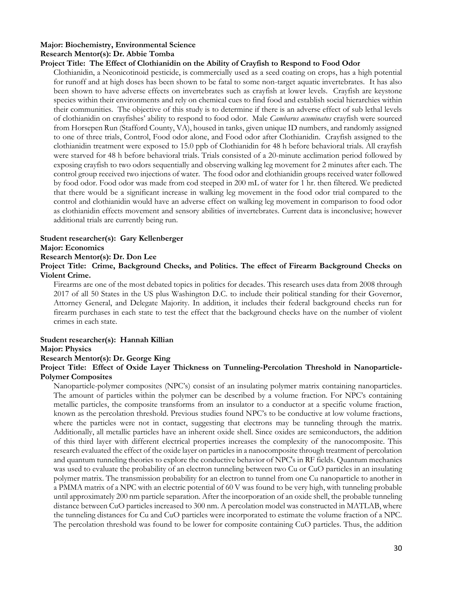#### **Major: Biochemistry, Environmental Science Research Mentor(s): Dr. Abbie Tomba**

#### **Project Title: The Effect of Clothianidin on the Ability of Crayfish to Respond to Food Odor**

Clothianidin, a Neonicotinoid pesticide, is commercially used as a seed coating on crops, has a high potential for runoff and at high doses has been shown to be fatal to some non-target aquatic invertebrates. It has also been shown to have adverse effects on invertebrates such as crayfish at lower levels. Crayfish are keystone species within their environments and rely on chemical cues to find food and establish social hierarchies within their communities. The objective of this study is to determine if there is an adverse effect of sub lethal levels of clothianidin on crayfishes' ability to respond to food odor. Male *Cambarus acuminatus* crayfish were sourced from Horsepen Run (Stafford County, VA), housed in tanks, given unique ID numbers, and randomly assigned to one of three trials, Control, Food odor alone, and Food odor after Clothianidin. Crayfish assigned to the clothianidin treatment were exposed to 15.0 ppb of Clothianidin for 48 h before behavioral trials. All crayfish were starved for 48 h before behavioral trials. Trials consisted of a 20-minute acclimation period followed by exposing crayfish to two odors sequentially and observing walking leg movement for 2 minutes after each. The control group received two injections of water. The food odor and clothianidin groups received water followed by food odor. Food odor was made from cod steeped in 200 mL of water for 1 hr. then filtered. We predicted that there would be a significant increase in walking leg movement in the food odor trial compared to the control and clothianidin would have an adverse effect on walking leg movement in comparison to food odor as clothianidin effects movement and sensory abilities of invertebrates. Current data is inconclusive; however additional trials are currently being run.

#### **Student researcher(s): Gary Kellenberger**

**Major: Economics** 

#### **Research Mentor(s): Dr. Don Lee**

#### **Project Title: Crime, Background Checks, and Politics. The effect of Firearm Background Checks on Violent Crime.**

Firearms are one of the most debated topics in politics for decades. This research uses data from 2008 through 2017 of all 50 States in the US plus Washington D.C. to include their political standing for their Governor, Attorney General, and Delegate Majority. In addition, it includes their federal background checks run for firearm purchases in each state to test the effect that the background checks have on the number of violent crimes in each state.

#### **Student researcher(s): Hannah Killian**

#### **Major: Physics**

#### **Research Mentor(s): Dr. George King**

#### **Project Title: Effect of Oxide Layer Thickness on Tunneling-Percolation Threshold in Nanoparticle-Polymer Composites**

Nanoparticle-polymer composites (NPC's) consist of an insulating polymer matrix containing nanoparticles. The amount of particles within the polymer can be described by a volume fraction. For NPC's containing metallic particles, the composite transforms from an insulator to a conductor at a specific volume fraction, known as the percolation threshold. Previous studies found NPC's to be conductive at low volume fractions, where the particles were not in contact, suggesting that electrons may be tunneling through the matrix. Additionally, all metallic particles have an inherent oxide shell. Since oxides are semiconductors, the addition of this third layer with different electrical properties increases the complexity of the nanocomposite. This research evaluated the effect of the oxide layer on particles in a nanocomposite through treatment of percolation and quantum tunneling theories to explore the conductive behavior of NPC's in RF fields. Quantum mechanics was used to evaluate the probability of an electron tunneling between two Cu or CuO particles in an insulating polymer matrix. The transmission probability for an electron to tunnel from one Cu nanoparticle to another in a PMMA matrix of a NPC with an electric potential of 60 V was found to be very high, with tunneling probable until approximately 200 nm particle separation. After the incorporation of an oxide shell, the probable tunneling distance between CuO particles increased to 300 nm. A percolation model was constructed in MATLAB, where the tunneling distances for Cu and CuO particles were incorporated to estimate the volume fraction of a NPC. The percolation threshold was found to be lower for composite containing CuO particles. Thus, the addition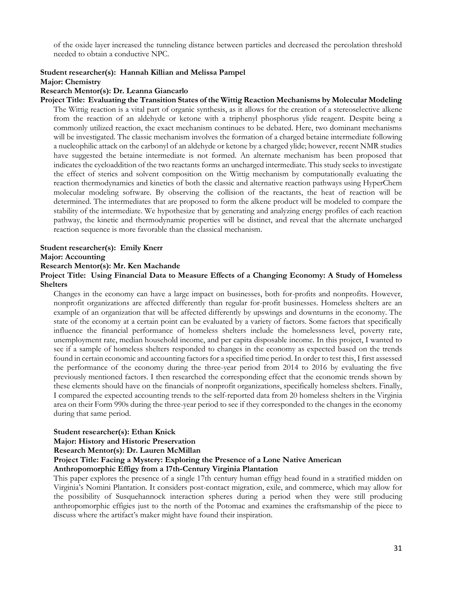of the oxide layer increased the tunneling distance between particles and decreased the percolation threshold needed to obtain a conductive NPC.

#### **Student researcher(s): Hannah Killian and Melissa Pampel**

#### **Major: Chemistry**

#### **Research Mentor(s): Dr. Leanna Giancarlo**

**Project Title: Evaluating the Transition States of the Wittig Reaction Mechanisms by Molecular Modeling**  The Wittig reaction is a vital part of organic synthesis, as it allows for the creation of a stereoselective alkene from the reaction of an aldehyde or ketone with a triphenyl phosphorus ylide reagent. Despite being a commonly utilized reaction, the exact mechanism continues to be debated. Here, two dominant mechanisms will be investigated. The classic mechanism involves the formation of a charged betaine intermediate following a nucleophilic attack on the carbonyl of an aldehyde or ketone by a charged ylide; however, recent NMR studies have suggested the betaine intermediate is not formed. An alternate mechanism has been proposed that indicates the cycloaddition of the two reactants forms an uncharged intermediate. This study seeks to investigate the effect of sterics and solvent composition on the Wittig mechanism by computationally evaluating the reaction thermodynamics and kinetics of both the classic and alternative reaction pathways using HyperChem molecular modeling software. By observing the collision of the reactants, the heat of reaction will be determined. The intermediates that are proposed to form the alkene product will be modeled to compare the stability of the intermediate. We hypothesize that by generating and analyzing energy profiles of each reaction pathway, the kinetic and thermodynamic properties will be distinct, and reveal that the alternate uncharged reaction sequence is more favorable than the classical mechanism.

#### **Student researcher(s): Emily Knerr**

#### **Major: Accounting**

#### **Research Mentor(s): Mr. Ken Machande**

**Project Title: Using Financial Data to Measure Effects of a Changing Economy: A Study of Homeless Shelters** 

Changes in the economy can have a large impact on businesses, both for-profits and nonprofits. However, nonprofit organizations are affected differently than regular for-profit businesses. Homeless shelters are an example of an organization that will be affected differently by upswings and downturns in the economy. The state of the economy at a certain point can be evaluated by a variety of factors. Some factors that specifically influence the financial performance of homeless shelters include the homelessness level, poverty rate, unemployment rate, median household income, and per capita disposable income. In this project, I wanted to see if a sample of homeless shelters responded to changes in the economy as expected based on the trends found in certain economic and accounting factors for a specified time period. In order to test this, I first assessed the performance of the economy during the three-year period from 2014 to 2016 by evaluating the five previously mentioned factors. I then researched the corresponding effect that the economic trends shown by these elements should have on the financials of nonprofit organizations, specifically homeless shelters. Finally, I compared the expected accounting trends to the self-reported data from 20 homeless shelters in the Virginia area on their Form 990s during the three-year period to see if they corresponded to the changes in the economy during that same period.

#### **Student researcher(s): Ethan Knick**

**Major: History and Historic Preservation**

**Research Mentor(s): Dr. Lauren McMillan** 

**Project Title: Facing a Mystery: Exploring the Presence of a Lone Native American** 

#### **Anthropomorphic Effigy from a 17th-Century Virginia Plantation**

This paper explores the presence of a single 17th century human effigy head found in a stratified midden on Virginia's Nomini Plantation. It considers post-contact migration, exile, and commerce, which may allow for the possibility of Susquehannock interaction spheres during a period when they were still producing anthropomorphic effigies just to the north of the Potomac and examines the craftsmanship of the piece to discuss where the artifact's maker might have found their inspiration.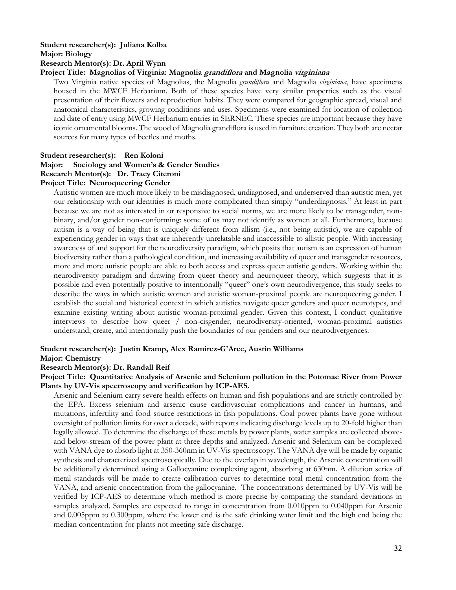#### **Student researcher(s): Juliana Kolba**

#### **Major: Biology**

#### **Research Mentor(s): Dr. April Wynn**

#### **Project Title: Magnolias of Virginia: Magnolia grandiflora and Magnolia virginiana**

Two Virginia native species of Magnolias, the Magnolia *grandiflora* and Magnolia *virginiana*, have specimens housed in the MWCF Herbarium. Both of these species have very similar properties such as the visual presentation of their flowers and reproduction habits. They were compared for geographic spread, visual and anatomical characteristics, growing conditions and uses. Specimens were examined for location of collection and date of entry using MWCF Herbarium entries in SERNEC. These species are important because they have iconic ornamental blooms. The wood of Magnolia grandiflora is used in furniture creation. They both are nectar sources for many types of beetles and moths.

#### **Student researcher(s): Ren Koloni**

#### **Major: Sociology and Women's & Gender Studies**

#### **Research Mentor(s): Dr. Tracy Citeroni**

#### **Project Title: Neuroqueering Gender**

Autistic women are much more likely to be misdiagnosed, undiagnosed, and underserved than autistic men, yet our relationship with our identities is much more complicated than simply "underdiagnosis." At least in part because we are not as interested in or responsive to social norms, we are more likely to be transgender, nonbinary, and/or gender non-conforming: some of us may not identify as women at all. Furthermore, because autism is a way of being that is uniquely different from allism (i.e., not being autistic), we are capable of experiencing gender in ways that are inherently unrelatable and inaccessible to allistic people. With increasing awareness of and support for the neurodiversity paradigm, which posits that autism is an expression of human biodiversity rather than a pathological condition, and increasing availability of queer and transgender resources, more and more autistic people are able to both access and express queer autistic genders. Working within the neurodiversity paradigm and drawing from queer theory and neuroqueer theory, which suggests that it is possible and even potentially positive to intentionally "queer" one's own neurodivergence, this study seeks to describe the ways in which autistic women and autistic woman-proximal people are neuroqueering gender. I establish the social and historical context in which autistics navigate queer genders and queer neurotypes, and examine existing writing about autistic woman-proximal gender. Given this context, I conduct qualitative interviews to describe how queer / non-cisgender, neurodiversity-oriented, woman-proximal autistics understand, create, and intentionally push the boundaries of our genders and our neurodivergences.

#### **Student researcher(s): Justin Kramp, Alex Ramirez-G'Arce, Austin Williams**

#### **Major: Chemistry**

#### **Research Mentor(s): Dr. Randall Reif**

#### **Project Title: Quantitative Analysis of Arsenic and Selenium pollution in the Potomac River from Power Plants by UV-Vis spectroscopy and verification by ICP-AES.**

Arsenic and Selenium carry severe health effects on human and fish populations and are strictly controlled by the EPA. Excess selenium and arsenic cause cardiovascular complications and cancer in humans, and mutations, infertility and food source restrictions in fish populations. Coal power plants have gone without oversight of pollution limits for over a decade, with reports indicating discharge levels up to 20-fold higher than legally allowed. To determine the discharge of these metals by power plants, water samples are collected aboveand below-stream of the power plant at three depths and analyzed. Arsenic and Selenium can be complexed with VANA dye to absorb light at 350-360nm in UV-Vis spectroscopy. The VANA dye will be made by organic synthesis and characterized spectroscopically. Due to the overlap in wavelength, the Arsenic concentration will be additionally determined using a Gallocyanine complexing agent, absorbing at 630nm. A dilution series of metal standards will be made to create calibration curves to determine total metal concentration from the VANA, and arsenic concentration from the gallocyanine. The concentrations determined by UV-Vis will be verified by ICP-AES to determine which method is more precise by comparing the standard deviations in samples analyzed. Samples are expected to range in concentration from 0.010ppm to 0.040ppm for Arsenic and 0.005ppm to 0.300ppm, where the lower end is the safe drinking water limit and the high end being the median concentration for plants not meeting safe discharge.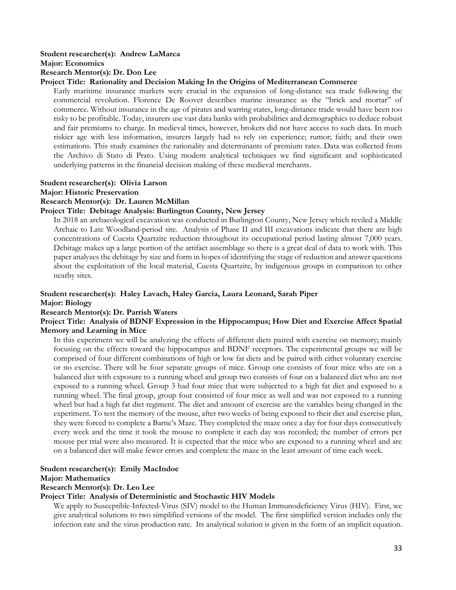#### **Student researcher(s): Andrew LaMarca Major: Economics**

#### **Research Mentor(s): Dr. Don Lee**

#### **Project Title: Rationality and Decision Making In the Origins of Mediterranean Commerce**

Early maritime insurance markets were crucial in the expansion of long-distance sea trade following the commercial revolution. Florence De Roover describes marine insurance as the "brick and mortar" of commerce. Without insurance in the age of pirates and warring states, long-distance trade would have been too risky to be profitable. Today, insurers use vast data banks with probabilities and demographics to deduce robust and fair premiums to charge. In medieval times, however, brokers did not have access to such data. In much riskier age with less information, insurers largely had to rely on experience; rumor; faith; and their own estimations. This study examines the rationality and determinants of premium rates. Data was collected from the Archivo di Stato di Prato. Using modern analytical techniques we find significant and sophisticated underlying patterns in the financial decision making of these medieval merchants.

## **Student researcher(s): Olivia Larson**

#### **Major: Historic Preservation**

#### **Research Mentor(s): Dr. Lauren McMillan**

#### **Project Title: Debitage Analysis: Burlington County, New Jersey**

In 2018 an archaeological excavation was conducted in Burlington County, New Jersey which reviled a Middle Archaic to Late Woodland-period site. Analysis of Phase II and III excavations indicate that there are high concentrations of Cuesta Quartzite reduction throughout its occupational period lasting almost 7,000 years. Debitage makes up a large portion of the artifact assemblage so there is a great deal of data to work with. This paper analyzes the debitage by size and form in hopes of identifying the stage of reduction and answer questions about the exploitation of the local material, Cuesta Quartzite, by indigenous groups in comparison to other nearby sites.

#### **Student researcher(s): Haley Lavach, Haley Garcia, Laura Leonard, Sarah Piper**

#### **Major: Biology**

#### **Research Mentor(s): Dr. Parrish Waters**

#### **Project Title: Analysis of BDNF Expression in the Hippocampus; How Diet and Exercise Affect Spatial Memory and Learning in Mice**

In this experiment we will be analyzing the effects of different diets paired with exercise on memory; mainly focusing on the effects toward the hippocampus and BDNF receptors. The experimental groups we will be comprised of four different combinations of high or low fat diets and be paired with either voluntary exercise or no exercise. There will be four separate groups of mice. Group one consists of four mice who are on a balanced diet with exposure to a running wheel and group two consists of four on a balanced diet who are not exposed to a running wheel. Group 3 had four mice that were subjected to a high fat diet and exposed to a running wheel. The final group, group four consisted of four mice as well and was not exposed to a running wheel but had a high fat diet regiment. The diet and amount of exercise are the variables being changed in the experiment. To test the memory of the mouse, after two weeks of being exposed to their diet and exercise plan, they were forced to complete a Barne's Maze. They completed the maze once a day for four days consecutively every week and the time it took the mouse to complete it each day was recorded; the number of errors per mouse per trial were also measured. It is expected that the mice who are exposed to a running wheel and are on a balanced diet will make fewer errors and complete the maze in the least amount of time each week.

#### **Student researcher(s): Emily MacIndoe**

#### **Major: Mathematics**

#### **Research Mentor(s): Dr. Leo Lee**

#### **Project Title: Analysis of Deterministic and Stochastic HIV Models**

We apply to Susceptible-Infected-Virus (SIV) model to the Human Immunodeficiency Virus (HIV). First, we give analytical solutions to two simplified versions of the model. The first simplified version includes only the infection rate and the virus production rate. Its analytical solution is given in the form of an implicit equation.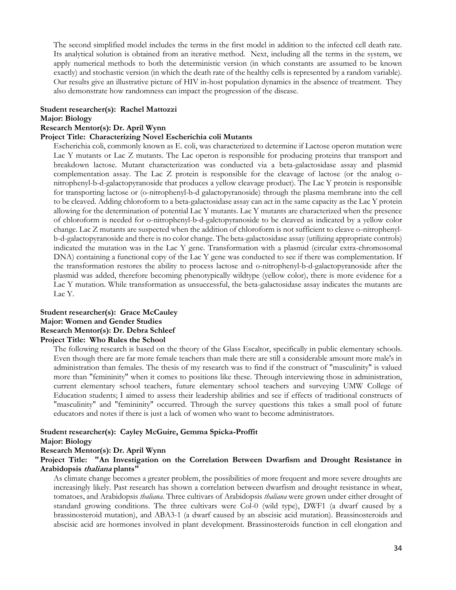The second simplified model includes the terms in the first model in addition to the infected cell death rate. Its analytical solution is obtained from an iterative method. Next, including all the terms in the system, we apply numerical methods to both the deterministic version (in which constants are assumed to be known exactly) and stochastic version (in which the death rate of the healthy cells is represented by a random variable). Our results give an illustrative picture of HIV in-host population dynamics in the absence of treatment. They also demonstrate how randomness can impact the progression of the disease.

#### **Student researcher(s): Rachel Mattozzi**

#### **Major: Biology**

#### **Research Mentor(s): Dr. April Wynn**

#### **Project Title: Characterizing Novel Escherichia coli Mutants**

Escherichia coli, commonly known as E. coli, was characterized to determine if Lactose operon mutation were Lac Y mutants or Lac Z mutants. The Lac operon is responsible for producing proteins that transport and breakdown lactose. Mutant characterization was conducted via a beta-galactosidase assay and plasmid complementation assay. The Lac Z protein is responsible for the cleavage of lactose (or the analog onitrophenyl-b-d-galactopyranoside that produces a yellow cleavage product). The Lac Y protein is responsible for transporting lactose or (o-nitrophenyl-b-d galactopyranoside) through the plasma membrane into the cell to be cleaved. Adding chloroform to a beta-galactosidase assay can act in the same capacity as the Lac Y protein allowing for the determination of potential Lac Y mutants. Lac Y mutants are characterized when the presence of chloroform is needed for o-nitrophenyl-b-d-galctopyranoside to be cleaved as indicated by a yellow color change. Lac Z mutants are suspected when the addition of chloroform is not sufficient to cleave o-nitrophenylb-d-galactopyranoside and there is no color change. The beta-galactosidase assay (utilizing appropriate controls) indicated the mutation was in the Lac Y gene. Transformation with a plasmid (circular extra-chromosomal DNA) containing a functional copy of the Lac Y gene was conducted to see if there was complementation. If the transformation restores the ability to process lactose and o-nitrophenyl-b-d-galactopyranoside after the plasmid was added, therefore becoming phenotypically wildtype (yellow color), there is more evidence for a Lac Y mutation. While transformation as unsuccessful, the beta-galactosidase assay indicates the mutants are Lac Y.

## **Student researcher(s): Grace McCauley Major: Women and Gender Studies Research Mentor(s): Dr. Debra Schleef**

## **Project Title: Who Rules the School**

The following research is based on the theory of the Glass Escaltor, specifically in public elementary schools. Even though there are far more female teachers than male there are still a considerable amount more male's in administration than females. The thesis of my research was to find if the construct of "masculinity" is valued more than "femininity" when it comes to positions like these. Through interviewing those in administration, current elementary school teachers, future elementary school teachers and surveying UMW College of Education students; I aimed to assess their leadership abilities and see if effects of traditional constructs of "masculinity" and "femininity" occurred. Through the survey questions this takes a small pool of future educators and notes if there is just a lack of women who want to become administrators.

#### **Student researcher(s): Cayley McGuire, Gemma Spicka-Proffit Major: Biology**

## **Research Mentor(s): Dr. April Wynn**

#### **Project Title: "An Investigation on the Correlation Between Dwarfism and Drought Resistance in Arabidopsis thaliana plants"**

As climate change becomes a greater problem, the possibilities of more frequent and more severe droughts are increasingly likely. Past research has shown a correlation between dwarfism and drought resistance in wheat, tomatoes, and Arabidopsis *thaliana*. Three cultivars of Arabidopsis *thaliana* were grown under either drought of standard growing conditions. The three cultivars were Col-0 (wild type), DWF1 (a dwarf caused by a brassinosteroid mutation), and ABA3-1 (a dwarf caused by an abscisic acid mutation). Brassinosteroids and abscisic acid are hormones involved in plant development. Brassinosteroids function in cell elongation and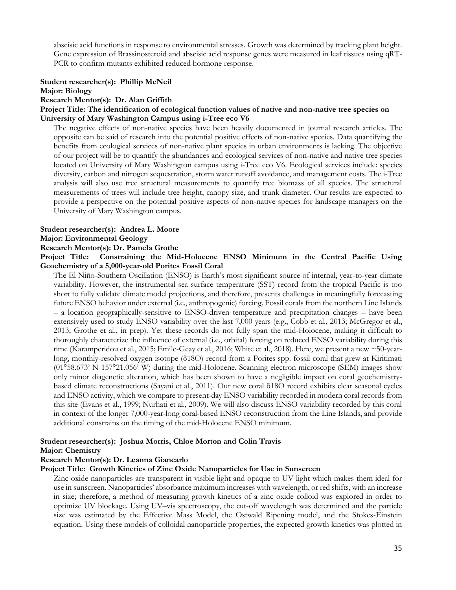abscisic acid functions in response to environmental stresses. Growth was determined by tracking plant height. Gene expression of Brassinosteroid and abscisic acid response genes were measured in leaf tissues using qRT-PCR to confirm mutants exhibited reduced hormone response.

#### **Student researcher(s): Phillip McNeil Major: Biology**

#### **Research Mentor(s): Dr. Alan Griffith**

#### **Project Title: The identification of ecological function values of native and non-native tree species on University of Mary Washington Campus using i-Tree eco V6**

The negative effects of non-native species have been heavily documented in journal research articles. The opposite can be said of research into the potential positive effects of non-native species. Data quantifying the benefits from ecological services of non-native plant species in urban environments is lacking. The objective of our project will be to quantify the abundances and ecological services of non-native and native tree species located on University of Mary Washington campus using i-Tree eco V6. Ecological services include: species diversity, carbon and nitrogen sequestration, storm water runoff avoidance, and management costs. The i-Tree analysis will also use tree structural measurements to quantify tree biomass of all species. The structural measurements of trees will include tree height, canopy size, and trunk diameter. Our results are expected to provide a perspective on the potential positive aspects of non-native species for landscape managers on the University of Mary Washington campus.

#### **Student researcher(s): Andrea L. Moore**

#### **Major: Environmental Geology**

#### **Research Mentor(s): Dr. Pamela Grothe**

#### **Project Title: Constraining the Mid-Holocene ENSO Minimum in the Central Pacific Using Geochemistry of a 5,000-year-old Porites Fossil Coral**

The El Niño-Southern Oscillation (ENSO) is Earth's most significant source of internal, year-to-year climate variability. However, the instrumental sea surface temperature (SST) record from the tropical Pacific is too short to fully validate climate model projections, and therefore, presents challenges in meaningfully forecasting future ENSO behavior under external (i.e., anthropogenic) forcing. Fossil corals from the northern Line Islands – a location geographically-sensitive to ENSO-driven temperature and precipitation changes – have been extensively used to study ENSO variability over the last 7,000 years (e.g., Cobb et al., 2013; McGregor et al., 2013; Grothe et al., in prep). Yet these records do not fully span the mid-Holocene, making it difficult to thoroughly characterize the influence of external (i.e., orbital) forcing on reduced ENSO variability during this time (Karamperidou et al., 2015; Emile-Geay et al., 2016; White et al., 2018). Here, we present a new ~50-yearlong, monthly-resolved oxygen isotope (δ18O) record from a Porites spp. fossil coral that grew at Kiritimati (01°58.673' N 157°21.056' W) during the mid-Holocene. Scanning electron microscope (SEM) images show only minor diagenetic alteration, which has been shown to have a negligible impact on coral geochemistrybased climate reconstructions (Sayani et al., 2011). Our new coral δ18O record exhibits clear seasonal cycles and ENSO activity, which we compare to present-day ENSO variability recorded in modern coral records from this site (Evans et al., 1999; Nurhati et al., 2009). We will also discuss ENSO variability recorded by this coral in context of the longer 7,000-year-long coral-based ENSO reconstruction from the Line Islands, and provide additional constrains on the timing of the mid-Holocene ENSO minimum.

#### **Student researcher(s): Joshua Morris, Chloe Morton and Colin Travis**

#### **Major: Chemistry**

#### **Research Mentor(s): Dr. Leanna Giancarlo**

#### **Project Title: Growth Kinetics of Zinc Oxide Nanoparticles for Use in Sunscreen**

Zinc oxide nanoparticles are transparent in visible light and opaque to UV light which makes them ideal for use in sunscreen. Nanoparticles' absorbance maximum increases with wavelength, or red shifts, with an increase in size; therefore, a method of measuring growth kinetics of a zinc oxide colloid was explored in order to optimize UV blockage. Using UV–vis spectroscopy, the cut-off wavelength was determined and the particle size was estimated by the Effective Mass Model, the Ostwald Ripening model, and the Stokes-Einstein equation. Using these models of colloidal nanoparticle properties, the expected growth kinetics was plotted in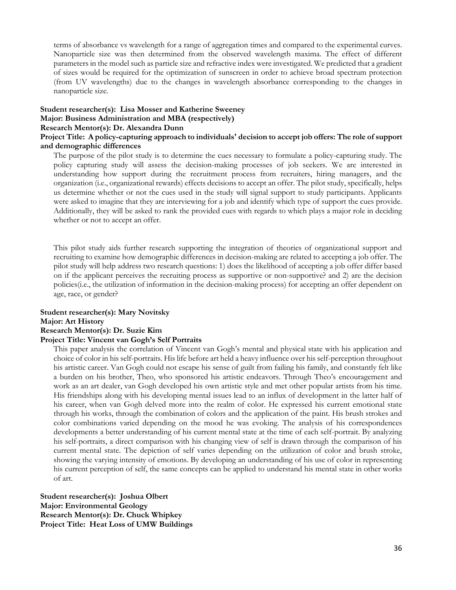terms of absorbance vs wavelength for a range of aggregation times and compared to the experimental curves. Nanoparticle size was then determined from the observed wavelength maxima. The effect of different parameters in the model such as particle size and refractive index were investigated. We predicted that a gradient of sizes would be required for the optimization of sunscreen in order to achieve broad spectrum protection (from UV wavelengths) due to the changes in wavelength absorbance corresponding to the changes in nanoparticle size.

### **Student researcher(s): Lisa Mosser and Katherine Sweeney Major: Business Administration and MBA (respectively)**

#### **Research Mentor(s): Dr. Alexandra Dunn**

#### **Project Title: A policy-capturing approach to individuals' decision to accept job offers: The role of support and demographic differences**

The purpose of the pilot study is to determine the cues necessary to formulate a policy-capturing study. The policy capturing study will assess the decision-making processes of job seekers. We are interested in understanding how support during the recruitment process from recruiters, hiring managers, and the organization (i.e., organizational rewards) effects decisions to accept an offer. The pilot study, specifically, helps us determine whether or not the cues used in the study will signal support to study participants. Applicants were asked to imagine that they are interviewing for a job and identify which type of support the cues provide. Additionally, they will be asked to rank the provided cues with regards to which plays a major role in deciding whether or not to accept an offer.

This pilot study aids further research supporting the integration of theories of organizational support and recruiting to examine how demographic differences in decision-making are related to accepting a job offer. The pilot study will help address two research questions: 1) does the likelihood of accepting a job offer differ based on if the applicant perceives the recruiting process as supportive or non-supportive? and 2) are the decision policies(i.e., the utilization of information in the decision-making process) for accepting an offer dependent on age, race, or gender?

#### **Student researcher(s): Mary Novitsky Major: Art History Research Mentor(s): Dr. Suzie Kim Project Title: Vincent van Gogh's Self Portraits**

This paper analysis the correlation of Vincent van Gogh's mental and physical state with his application and choice of color in his self-portraits. His life before art held a heavy influence over his self-perception throughout his artistic career. Van Gogh could not escape his sense of guilt from failing his family, and constantly felt like a burden on his brother, Theo, who sponsored his artistic endeavors. Through Theo's encouragement and work as an art dealer, van Gogh developed his own artistic style and met other popular artists from his time. His friendships along with his developing mental issues lead to an influx of development in the latter half of his career, when van Gogh delved more into the realm of color. He expressed his current emotional state through his works, through the combination of colors and the application of the paint. His brush strokes and color combinations varied depending on the mood he was evoking. The analysis of his correspondences developments a better understanding of his current mental state at the time of each self-portrait. By analyzing his self-portraits, a direct comparison with his changing view of self is drawn through the comparison of his current mental state. The depiction of self varies depending on the utilization of color and brush stroke, showing the varying intensity of emotions. By developing an understanding of his use of color in representing his current perception of self, the same concepts can be applied to understand his mental state in other works of art.

**Student researcher(s): Joshua Olbert Major: Environmental Geology Research Mentor(s): Dr. Chuck Whipkey Project Title: Heat Loss of UMW Buildings**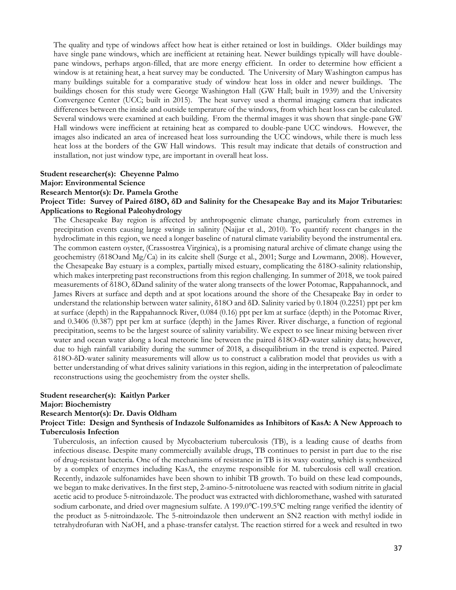The quality and type of windows affect how heat is either retained or lost in buildings. Older buildings may have single pane windows, which are inefficient at retaining heat. Newer buildings typically will have doublepane windows, perhaps argon-filled, that are more energy efficient. In order to determine how efficient a window is at retaining heat, a heat survey may be conducted. The University of Mary Washington campus has many buildings suitable for a comparative study of window heat loss in older and newer buildings. The buildings chosen for this study were George Washington Hall (GW Hall; built in 1939) and the University Convergence Center (UCC; built in 2015). The heat survey used a thermal imaging camera that indicates differences between the inside and outside temperature of the windows, from which heat loss can be calculated. Several windows were examined at each building. From the thermal images it was shown that single-pane GW Hall windows were inefficient at retaining heat as compared to double-pane UCC windows. However, the images also indicated an area of increased heat loss surrounding the UCC windows, while there is much less heat loss at the borders of the GW Hall windows. This result may indicate that details of construction and installation, not just window type, are important in overall heat loss.

#### **Student researcher(s): Cheyenne Palmo**

**Major: Environmental Science** 

#### **Research Mentor(s): Dr. Pamela Grothe**

#### **Project Title: Survey of Paired δ18O, δD and Salinity for the Chesapeake Bay and its Major Tributaries: Applications to Regional Paleohydrology**

The Chesapeake Bay region is affected by anthropogenic climate change, particularly from extremes in precipitation events causing large swings in salinity (Najjar et al., 2010). To quantify recent changes in the hydroclimate in this region, we need a longer baseline of natural climate variability beyond the instrumental era. The common eastern oyster, (Crassostrea Virginica), is a promising natural archive of climate change using the geochemistry (δ18Oand Mg/Ca) in its calcite shell (Surge et al., 2001; Surge and Lowmann, 2008). However, the Chesapeake Bay estuary is a complex, partially mixed estuary, complicating the δ18O-salinity relationship, which makes interpreting past reconstructions from this region challenging. In summer of 2018, we took paired measurements of δ18O, δDand salinity of the water along transects of the lower Potomac, Rappahannock, and James Rivers at surface and depth and at spot locations around the shore of the Chesapeake Bay in order to understand the relationship between water salinity, δ18O and δD. Salinity varied by 0.1804 (0.2251) ppt per km at surface (depth) in the Rappahannock River, 0.084 (0.16) ppt per km at surface (depth) in the Potomac River, and 0.3406 (0.387) ppt per km at surface (depth) in the James River. River discharge, a function of regional precipitation, seems to be the largest source of salinity variability. We expect to see linear mixing between river water and ocean water along a local meteoric line between the paired δ18O-δD-water salinity data; however, due to high rainfall variability during the summer of 2018, a disequilibrium in the trend is expected. Paired δ18O-δD-water salinity measurements will allow us to construct a calibration model that provides us with a better understanding of what drives salinity variations in this region, aiding in the interpretation of paleoclimate reconstructions using the geochemistry from the oyster shells.

#### **Student researcher(s): Kaitlyn Parker**

#### **Major: Biochemistry**

#### **Research Mentor(s): Dr. Davis Oldham**

#### **Project Title: Design and Synthesis of Indazole Sulfonamides as Inhibitors of KasA: A New Approach to Tuberculosis Infection**

Tuberculosis, an infection caused by Mycobacterium tuberculosis (TB), is a leading cause of deaths from infectious disease. Despite many commercially available drugs, TB continues to persist in part due to the rise of drug-resistant bacteria. One of the mechanisms of resistance in TB is its waxy coating, which is synthesized by a complex of enzymes including KasA, the enzyme responsible for M. tuberculosis cell wall creation. Recently, indazole sulfonamides have been shown to inhibit TB growth. To build on these lead compounds, we began to make derivatives. In the first step, 2-amino-5-nitrotoluene was reacted with sodium nitrite in glacial acetic acid to produce 5-nitroindazole. The product was extracted with dichloromethane, washed with saturated sodium carbonate, and dried over magnesium sulfate. A 199.0℃-199.5℃ melting range verified the identity of the product as 5-nitroindazole. The 5-nitroindazole then underwent an SN2 reaction with methyl iodide in tetrahydrofuran with NaOH, and a phase-transfer catalyst. The reaction stirred for a week and resulted in two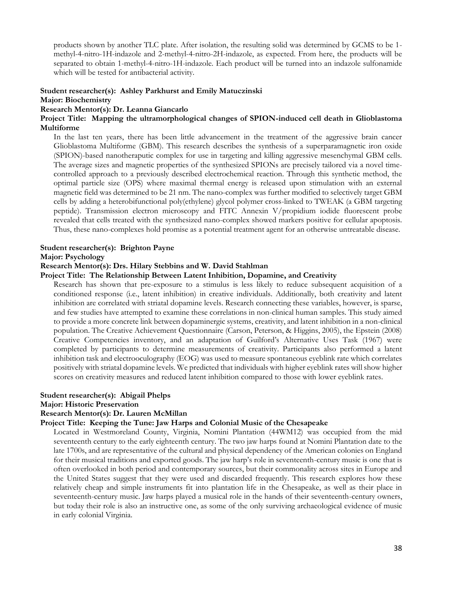products shown by another TLC plate. After isolation, the resulting solid was determined by GCMS to be 1 methyl-4-nitro-1H-indazole and 2-methyl-4-nitro-2H-indazole, as expected. From here, the products will be separated to obtain 1-methyl-4-nitro-1H-indazole. Each product will be turned into an indazole sulfonamide which will be tested for antibacterial activity.

## **Student researcher(s): Ashley Parkhurst and Emily Matuczinski**

#### **Major: Biochemistry**

#### **Research Mentor(s): Dr. Leanna Giancarlo**

#### **Project Title: Mapping the ultramorphological changes of SPION-induced cell death in Glioblastoma Multiforme**

In the last ten years, there has been little advancement in the treatment of the aggressive brain cancer Glioblastoma Multiforme (GBM). This research describes the synthesis of a superparamagnetic iron oxide (SPION)-based nanotheraputic complex for use in targeting and killing aggressive mesenchymal GBM cells. The average sizes and magnetic properties of the synthesized SPIONs are precisely tailored via a novel timecontrolled approach to a previously described electrochemical reaction. Through this synthetic method, the optimal particle size (OPS) where maximal thermal energy is released upon stimulation with an external magnetic field was determined to be 21 nm. The nano-complex was further modified to selectively target GBM cells by adding a heterobifunctional poly(ethylene) glycol polymer cross-linked to TWEAK (a GBM targeting peptide). Transmission electron microscopy and FITC Annexin V/propidium iodide fluorescent probe revealed that cells treated with the synthesized nano-complex showed markers positive for cellular apoptosis. Thus, these nano-complexes hold promise as a potential treatment agent for an otherwise untreatable disease.

#### **Student researcher(s): Brighton Payne**

#### **Major: Psychology**

#### **Research Mentor(s): Drs. Hilary Stebbins and W. David Stahlman**

#### **Project Title: The Relationship Between Latent Inhibition, Dopamine, and Creativity**

Research has shown that pre-exposure to a stimulus is less likely to reduce subsequent acquisition of a conditioned response (i.e., latent inhibition) in creative individuals. Additionally, both creativity and latent inhibition are correlated with striatal dopamine levels. Research connecting these variables, however, is sparse, and few studies have attempted to examine these correlations in non-clinical human samples. This study aimed to provide a more concrete link between dopaminergic systems, creativity, and latent inhibition in a non-clinical population. The Creative Achievement Questionnaire (Carson, Peterson, & Higgins, 2005), the Epstein (2008) Creative Competencies inventory, and an adaptation of Guilford's Alternative Uses Task (1967) were completed by participants to determine measurements of creativity. Participants also performed a latent inhibition task and electrooculography (EOG) was used to measure spontaneous eyeblink rate which correlates positively with striatal dopamine levels. We predicted that individuals with higher eyeblink rates will show higher scores on creativity measures and reduced latent inhibition compared to those with lower eyeblink rates.

#### **Student researcher(s): Abigail Phelps**

#### **Major: Historic Preservation**

#### **Research Mentor(s): Dr. Lauren McMillan**

#### **Project Title: Keeping the Tune: Jaw Harps and Colonial Music of the Chesapeake**

Located in Westmoreland County, Virginia, Nomini Plantation (44WM12) was occupied from the mid seventeenth century to the early eighteenth century. The two jaw harps found at Nomini Plantation date to the late 1700s, and are representative of the cultural and physical dependency of the American colonies on England for their musical traditions and exported goods. The jaw harp's role in seventeenth-century music is one that is often overlooked in both period and contemporary sources, but their commonality across sites in Europe and the United States suggest that they were used and discarded frequently. This research explores how these relatively cheap and simple instruments fit into plantation life in the Chesapeake, as well as their place in seventeenth-century music. Jaw harps played a musical role in the hands of their seventeenth-century owners, but today their role is also an instructive one, as some of the only surviving archaeological evidence of music in early colonial Virginia.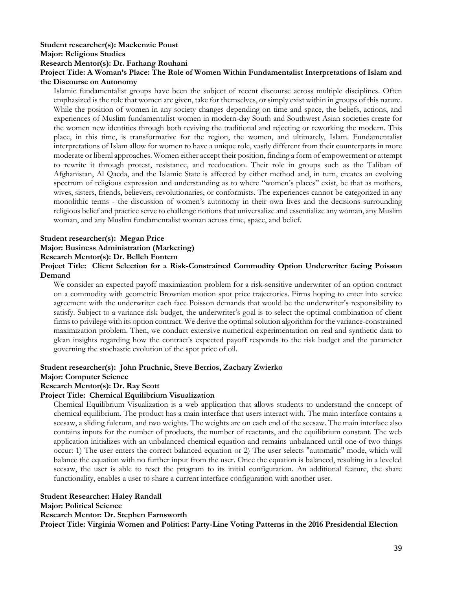## **Student researcher(s): Mackenzie Poust**

**Major: Religious Studies** 

**Research Mentor(s): Dr. Farhang Rouhani** 

#### **Project Title: A Woman's Place: The Role of Women Within Fundamentalist Interpretations of Islam and the Discourse on Autonomy**

Islamic fundamentalist groups have been the subject of recent discourse across multiple disciplines. Often emphasized is the role that women are given, take for themselves, or simply exist within in groups of this nature. While the position of women in any society changes depending on time and space, the beliefs, actions, and experiences of Muslim fundamentalist women in modern-day South and Southwest Asian societies create for the women new identities through both reviving the traditional and rejecting or reworking the modern. This place, in this time, is transformative for the region, the women, and ultimately, Islam. Fundamentalist interpretations of Islam allow for women to have a unique role, vastly different from their counterparts in more moderate or liberal approaches. Women either accept their position, finding a form of empowerment or attempt to rewrite it through protest, resistance, and reeducation. Their role in groups such as the Taliban of Afghanistan, Al Qaeda, and the Islamic State is affected by either method and, in turn, creates an evolving spectrum of religious expression and understanding as to where "women's places" exist, be that as mothers, wives, sisters, friends, believers, revolutionaries, or conformists. The experiences cannot be categorized in any monolithic terms - the discussion of women's autonomy in their own lives and the decisions surrounding religious belief and practice serve to challenge notions that universalize and essentialize any woman, any Muslim woman, and any Muslim fundamentalist woman across time, space, and belief.

#### **Student researcher(s): Megan Price**

**Major: Business Administration (Marketing)** 

#### **Research Mentor(s): Dr. Belleh Fontem**

#### **Project Title: Client Selection for a Risk-Constrained Commodity Option Underwriter facing Poisson Demand**

We consider an expected payoff maximization problem for a risk-sensitive underwriter of an option contract on a commodity with geometric Brownian motion spot price trajectories. Firms hoping to enter into service agreement with the underwriter each face Poisson demands that would be the underwriter's responsibility to satisfy. Subject to a variance risk budget, the underwriter's goal is to select the optimal combination of client firms to privilege with its option contract. We derive the optimal solution algorithm for the variance-constrained maximization problem. Then, we conduct extensive numerical experimentation on real and synthetic data to glean insights regarding how the contract's expected payoff responds to the risk budget and the parameter governing the stochastic evolution of the spot price of oil.

### **Student researcher(s): John Pruchnic, Steve Berrios, Zachary Zwierko**

#### **Major: Computer Science**

#### **Research Mentor(s): Dr. Ray Scott**

#### **Project Title: Chemical Equilibrium Visualization**

Chemical Equilibrium Visualization is a web application that allows students to understand the concept of chemical equilibrium. The product has a main interface that users interact with. The main interface contains a seesaw, a sliding fulcrum, and two weights. The weights are on each end of the seesaw. The main interface also contains inputs for the number of products, the number of reactants, and the equilibrium constant. The web application initializes with an unbalanced chemical equation and remains unbalanced until one of two things occur: 1) The user enters the correct balanced equation or 2) The user selects "automatic" mode, which will balance the equation with no further input from the user. Once the equation is balanced, resulting in a leveled seesaw, the user is able to reset the program to its initial configuration. An additional feature, the share functionality, enables a user to share a current interface configuration with another user.

#### **Student Researcher: Haley Randall**

**Major: Political Science**

**Research Mentor: Dr. Stephen Farnsworth**

**Project Title: Virginia Women and Politics: Party-Line Voting Patterns in the 2016 Presidential Election**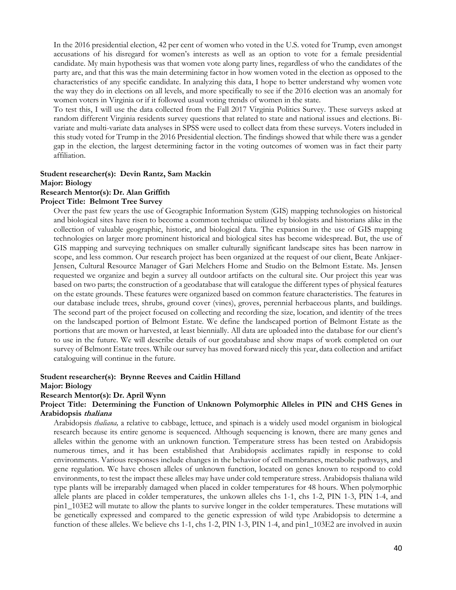In the 2016 presidential election, 42 per cent of women who voted in the U.S. voted for Trump, even amongst accusations of his disregard for women's interests as well as an option to vote for a female presidential candidate. My main hypothesis was that women vote along party lines, regardless of who the candidates of the party are, and that this was the main determining factor in how women voted in the election as opposed to the characteristics of any specific candidate. In analyzing this data, I hope to better understand why women vote the way they do in elections on all levels, and more specifically to see if the 2016 election was an anomaly for women voters in Virginia or if it followed usual voting trends of women in the state.

To test this, I will use the data collected from the Fall 2017 Virginia Politics Survey. These surveys asked at random different Virginia residents survey questions that related to state and national issues and elections. Bivariate and multi-variate data analyses in SPSS were used to collect data from these surveys. Voters included in this study voted for Trump in the 2016 Presidential election. The findings showed that while there was a gender gap in the election, the largest determining factor in the voting outcomes of women was in fact their party affiliation.

#### **Student researcher(s): Devin Rantz, Sam Mackin Major: Biology**

#### **Research Mentor(s): Dr. Alan Griffith**

#### **Project Title: Belmont Tree Survey**

Over the past few years the use of Geographic Information System (GIS) mapping technologies on historical and biological sites have risen to become a common technique utilized by biologists and historians alike in the collection of valuable geographic, historic, and biological data. The expansion in the use of GIS mapping technologies on larger more prominent historical and biological sites has become widespread. But, the use of GIS mapping and surveying techniques on smaller culturally significant landscape sites has been narrow in scope, and less common. Our research project has been organized at the request of our client, Beate Ankjaer-Jensen, Cultural Resource Manager of Gari Melchers Home and Studio on the Belmont Estate. Ms. Jensen requested we organize and begin a survey all outdoor artifacts on the cultural site. Our project this year was based on two parts; the construction of a geodatabase that will catalogue the different types of physical features on the estate grounds. These features were organized based on common feature characteristics. The features in our database include trees, shrubs, ground cover (vines), groves, perennial herbaceous plants, and buildings. The second part of the project focused on collecting and recording the size, location, and identity of the trees on the landscaped portion of Belmont Estate. We define the landscaped portion of Belmont Estate as the portions that are mown or harvested, at least biennially. All data are uploaded into the database for our client's to use in the future. We will describe details of our geodatabase and show maps of work completed on our survey of Belmont Estate trees. While our survey has moved forward nicely this year, data collection and artifact cataloguing will continue in the future.

#### **Student researcher(s): Brynne Reeves and Caitlin Hilland Major: Biology**

#### **Research Mentor(s): Dr. April Wynn**

#### **Project Title: Determining the Function of Unknown Polymorphic Alleles in PIN and CHS Genes in Arabidopsis thaliana**

Arabidopsis *thaliana,* a relative to cabbage, lettuce, and spinach is a widely used model organism in biological research because its entire genome is sequenced. Although sequencing is known, there are many genes and alleles within the genome with an unknown function. Temperature stress has been tested on Arabidopsis numerous times, and it has been established that Arabidopsis acclimates rapidly in response to cold environments. Various responses include changes in the behavior of cell membranes, metabolic pathways, and gene regulation. We have chosen alleles of unknown function, located on genes known to respond to cold environments, to test the impact these alleles may have under cold temperature stress. Arabidopsis thaliana wild type plants will be irreparably damaged when placed in colder temperatures for 48 hours. When polymorphic allele plants are placed in colder temperatures, the unkown alleles chs 1-1, chs 1-2, PIN 1-3, PIN 1-4, and pin1\_103E2 will mutate to allow the plants to survive longer in the colder temperatures. These mutations will be genetically expressed and compared to the genetic expression of wild type Arabidopsis to determine a function of these alleles. We believe chs 1-1, chs 1-2, PIN 1-3, PIN 1-4, and pin1\_103E2 are involved in auxin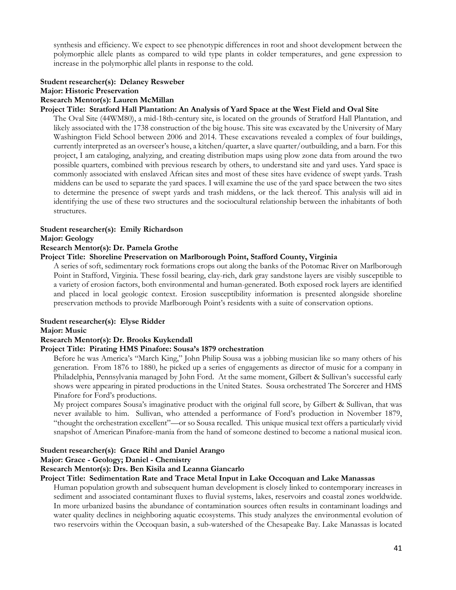synthesis and efficiency. We expect to see phenotypic differences in root and shoot development between the polymorphic allele plants as compared to wild type plants in colder temperatures, and gene expression to increase in the polymorphic allel plants in response to the cold.

#### **Student researcher(s): Delaney Resweber Major: Historic Preservation Research Mentor(s): Lauren McMillan**

#### **Project Title: Stratford Hall Plantation: An Analysis of Yard Space at the West Field and Oval Site**

The Oval Site (44WM80), a mid-18th-century site, is located on the grounds of Stratford Hall Plantation, and likely associated with the 1738 construction of the big house. This site was excavated by the University of Mary Washington Field School between 2006 and 2014. These excavations revealed a complex of four buildings, currently interpreted as an overseer's house, a kitchen/quarter, a slave quarter/outbuilding, and a barn. For this project, I am cataloging, analyzing, and creating distribution maps using plow zone data from around the two possible quarters, combined with previous research by others, to understand site and yard uses. Yard space is commonly associated with enslaved African sites and most of these sites have evidence of swept yards. Trash middens can be used to separate the yard spaces. I will examine the use of the yard space between the two sites to determine the presence of swept yards and trash middens, or the lack thereof. This analysis will aid in identifying the use of these two structures and the sociocultural relationship between the inhabitants of both structures.

## **Student researcher(s): Emily Richardson**

#### **Major: Geology**

#### **Research Mentor(s): Dr. Pamela Grothe**

#### **Project Title: Shoreline Preservation on Marlborough Point, Stafford County, Virginia**

A series of soft, sedimentary rock formations crops out along the banks of the Potomac River on Marlborough Point in Stafford, Virginia. These fossil bearing, clay-rich, dark gray sandstone layers are visibly susceptible to a variety of erosion factors, both environmental and human-generated. Both exposed rock layers are identified and placed in local geologic context. Erosion susceptibility information is presented alongside shoreline preservation methods to provide Marlborough Point's residents with a suite of conservation options.

#### **Student researcher(s): Elyse Ridder**

#### **Major: Music**

#### **Research Mentor(s): Dr. Brooks Kuykendall**

#### **Project Title: Pirating HMS Pinafore: Sousa's 1879 orchestration**

Before he was America's "March King," John Philip Sousa was a jobbing musician like so many others of his generation. From 1876 to 1880, he picked up a series of engagements as director of music for a company in Philadelphia, Pennsylvania managed by John Ford. At the same moment, Gilbert & Sullivan's successful early shows were appearing in pirated productions in the United States. Sousa orchestrated The Sorcerer and HMS Pinafore for Ford's productions.

My project compares Sousa's imaginative product with the original full score, by Gilbert & Sullivan, that was never available to him. Sullivan, who attended a performance of Ford's production in November 1879, "thought the orchestration excellent"—or so Sousa recalled. This unique musical text offers a particularly vivid snapshot of American Pinafore-mania from the hand of someone destined to become a national musical icon.

#### **Student researcher(s): Grace Rihl and Daniel Arango**

#### **Major: Grace - Geology; Daniel - Chemistry**

#### **Research Mentor(s): Drs. Ben Kisila and Leanna Giancarlo**

#### **Project Title: Sedimentation Rate and Trace Metal Input in Lake Occoquan and Lake Manassas**

Human population growth and subsequent human development is closely linked to contemporary increases in sediment and associated contaminant fluxes to fluvial systems, lakes, reservoirs and coastal zones worldwide. In more urbanized basins the abundance of contamination sources often results in contaminant loadings and water quality declines in neighboring aquatic ecosystems. This study analyzes the environmental evolution of two reservoirs within the Occoquan basin, a sub-watershed of the Chesapeake Bay. Lake Manassas is located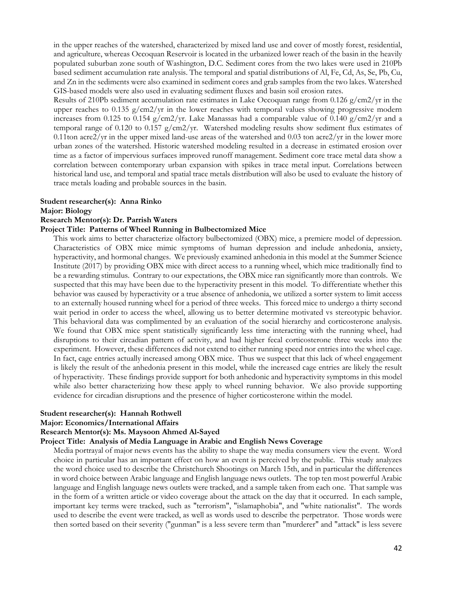in the upper reaches of the watershed, characterized by mixed land use and cover of mostly forest, residential, and agriculture, whereas Occoquan Reservoir is located in the urbanized lower reach of the basin in the heavily populated suburban zone south of Washington, D.C. Sediment cores from the two lakes were used in 210Pb based sediment accumulation rate analysis. The temporal and spatial distributions of Al, Fe, Cd, As, Se, Pb, Cu, and Zn in the sediments were also examined in sediment cores and grab samples from the two lakes. Watershed GIS-based models were also used in evaluating sediment fluxes and basin soil erosion rates.

Results of 210Pb sediment accumulation rate estimates in Lake Occoquan range from 0.126 g/cm2/yr in the upper reaches to 0.135  $g/cm2/yr$  in the lower reaches with temporal values showing progressive modern increases from 0.125 to 0.154 g/cm2/yr. Lake Manassas had a comparable value of 0.140 g/cm2/yr and a temporal range of 0.120 to 0.157  $g/cm2/yr$ . Watershed modeling results show sediment flux estimates of 0.11ton acre2/yr in the upper mixed land-use areas of the watershed and 0.03 ton acre2/yr in the lower more urban zones of the watershed. Historic watershed modeling resulted in a decrease in estimated erosion over time as a factor of impervious surfaces improved runoff management. Sediment core trace metal data show a correlation between contemporary urban expansion with spikes in trace metal input. Correlations between historical land use, and temporal and spatial trace metals distribution will also be used to evaluate the history of trace metals loading and probable sources in the basin.

#### **Student researcher(s): Anna Rinko**

#### **Major: Biology**

#### **Research Mentor(s): Dr. Parrish Waters**

#### **Project Title: Patterns of Wheel Running in Bulbectomized Mice**

This work aims to better characterize olfactory bulbectomized (OBX) mice, a premiere model of depression. Characteristics of OBX mice mimic symptoms of human depression and include anhedonia, anxiety, hyperactivity, and hormonal changes. We previously examined anhedonia in this model at the Summer Science Institute (2017) by providing OBX mice with direct access to a running wheel, which mice traditionally find to be a rewarding stimulus. Contrary to our expectations, the OBX mice ran significantly more than controls. We suspected that this may have been due to the hyperactivity present in this model. To differentiate whether this behavior was caused by hyperactivity or a true absence of anhedonia, we utilized a sorter system to limit access to an externally housed running wheel for a period of three weeks. This forced mice to undergo a thirty second wait period in order to access the wheel, allowing us to better determine motivated vs stereotypic behavior. This behavioral data was complimented by an evaluation of the social hierarchy and corticosterone analysis. We found that OBX mice spent statistically significantly less time interacting with the running wheel, had disruptions to their circadian pattern of activity, and had higher fecal corticosterone three weeks into the experiment. However, these differences did not extend to either running speed nor entries into the wheel cage. In fact, cage entries actually increased among OBX mice. Thus we suspect that this lack of wheel engagement is likely the result of the anhedonia present in this model, while the increased cage entries are likely the result of hyperactivity. These findings provide support for both anhedonic and hyperactivity symptoms in this model while also better characterizing how these apply to wheel running behavior. We also provide supporting evidence for circadian disruptions and the presence of higher corticosterone within the model.

#### **Student researcher(s): Hannah Rothwell**

#### **Major: Economics/International Affairs**

#### **Research Mentor(s): Ms. Maysoon Ahmed Al-Sayed**

#### **Project Title: Analysis of Media Language in Arabic and English News Coverage**

Media portrayal of major news events has the ability to shape the way media consumers view the event. Word choice in particular has an important effect on how an event is perceived by the public. This study analyzes the word choice used to describe the Christchurch Shootings on March 15th, and in particular the differences in word choice between Arabic language and English language news outlets. The top ten most powerful Arabic language and English language news outlets were tracked, and a sample taken from each one. That sample was in the form of a written article or video coverage about the attack on the day that it occurred. In each sample, important key terms were tracked, such as "terrorism", "islamaphobia", and "white nationalist". The words used to describe the event were tracked, as well as words used to describe the perpetrator. Those words were then sorted based on their severity ("gunman" is a less severe term than "murderer" and "attack" is less severe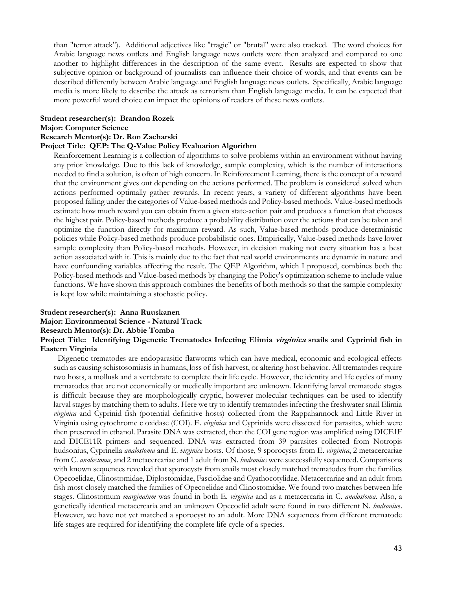than "terror attack"). Additional adjectives like "tragic" or "brutal" were also tracked. The word choices for Arabic language news outlets and English language news outlets were then analyzed and compared to one another to highlight differences in the description of the same event. Results are expected to show that subjective opinion or background of journalists can influence their choice of words, and that events can be described differently between Arabic language and English language news outlets. Specifically, Arabic language media is more likely to describe the attack as terrorism than English language media. It can be expected that more powerful word choice can impact the opinions of readers of these news outlets.

#### **Student researcher(s): Brandon Rozek**

#### **Major: Computer Science**

#### **Research Mentor(s): Dr. Ron Zacharski**

#### **Project Title: QEP: The Q-Value Policy Evaluation Algorithm**

Reinforcement Learning is a collection of algorithms to solve problems within an environment without having any prior knowledge. Due to this lack of knowledge, sample complexity, which is the number of interactions needed to find a solution, is often of high concern. In Reinforcement Learning, there is the concept of a reward that the environment gives out depending on the actions performed. The problem is considered solved when actions performed optimally gather rewards. In recent years, a variety of different algorithms have been proposed falling under the categories of Value-based methods and Policy-based methods. Value-based methods estimate how much reward you can obtain from a given state-action pair and produces a function that chooses the highest pair. Policy-based methods produce a probability distribution over the actions that can be taken and optimize the function directly for maximum reward. As such, Value-based methods produce deterministic policies while Policy-based methods produce probabilistic ones. Empirically, Value-based methods have lower sample complexity than Policy-based methods. However, in decision making not every situation has a best action associated with it. This is mainly due to the fact that real world environments are dynamic in nature and have confounding variables affecting the result. The QEP Algorithm, which I proposed, combines both the Policy-based methods and Value-based methods by changing the Policy's optimization scheme to include value functions. We have shown this approach combines the benefits of both methods so that the sample complexity is kept low while maintaining a stochastic policy.

#### **Student researcher(s): Anna Ruuskanen**

#### **Major: Environmental Science - Natural Track**

#### **Research Mentor(s): Dr. Abbie Tomba**

#### **Project Title: Identifying Digenetic Trematodes Infecting Elimia virginica snails and Cyprinid fish in Eastern Virginia**

 Digenetic trematodes are endoparasitic flatworms which can have medical, economic and ecological effects such as causing schistosomiasis in humans, loss of fish harvest, or altering host behavior. All trematodes require two hosts, a mollusk and a vertebrate to complete their life cycle. However, the identity and life cycles of many trematodes that are not economically or medically important are unknown. Identifying larval trematode stages is difficult because they are morphologically cryptic, however molecular techniques can be used to identify larval stages by matching them to adults. Here we try to identify trematodes infecting the freshwater snail Elimia *virginica* and Cyprinid fish (potential definitive hosts) collected from the Rappahannock and Little River in Virginia using cytochrome c oxidase (COI). E. *virginica* and Cyprinids were dissected for parasites, which were then preserved in ethanol. Parasite DNA was extracted, then the COI gene region was amplified using DICE1F and DICE11R primers and sequenced. DNA was extracted from 39 parasites collected from Notropis hudsonius, Cyprinella *analostoma* and E. *virginica* hosts. Of those, 9 sporocysts from E. *virginica*, 2 metacercariae from C. *analostoma*, and 2 metacercariae and 1 adult from N. *hudsonius* were successfully sequenced. Comparisons with known sequences revealed that sporocysts from snails most closely matched trematodes from the families Opecoelidae, Clinostomidae, Diplostomidae, Fasciolidae and Cyathocotylidae. Metacercariae and an adult from fish most closely matched the families of Opecoelidae and Clinostomidae. We found two matches between life stages. Clinostomum *marginatum* was found in both E. *virginica* and as a metacercaria in C. *analostoma*. Also, a genetically identical metacercaria and an unknown Opecoelid adult were found in two different N. *hudsoniu*s. However, we have not yet matched a sporocyst to an adult. More DNA sequences from different trematode life stages are required for identifying the complete life cycle of a species.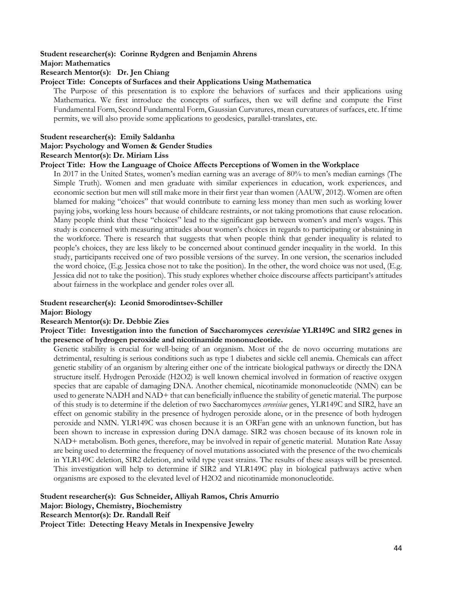#### **Student researcher(s): Corinne Rydgren and Benjamin Ahrens**

**Major: Mathematics** 

#### **Research Mentor(s): Dr. Jen Chiang**

#### **Project Title: Concepts of Surfaces and their Applications Using Mathematica**

The Purpose of this presentation is to explore the behaviors of surfaces and their applications using Mathematica. We first introduce the concepts of surfaces, then we will define and compute the First Fundamental Form, Second Fundamental Form, Gaussian Curvatures, mean curvatures of surfaces, etc. If time permits, we will also provide some applications to geodesics, parallel-translates, etc.

#### **Student researcher(s): Emily Saldanha**

#### **Major: Psychology and Women & Gender Studies**

#### **Research Mentor(s): Dr. Miriam Liss**

#### **Project Title: How the Language of Choice Affects Perceptions of Women in the Workplace**

In 2017 in the United States, women's median earning was an average of 80% to men's median earnings (The Simple Truth). Women and men graduate with similar experiences in education, work experiences, and economic section but men will still make more in their first year than women (AAUW, 2012). Women are often blamed for making "choices" that would contribute to earning less money than men such as working lower paying jobs, working less hours because of childcare restraints, or not taking promotions that cause relocation. Many people think that these "choices" lead to the significant gap between women's and men's wages. This study is concerned with measuring attitudes about women's choices in regards to participating or abstaining in the workforce. There is research that suggests that when people think that gender inequality is related to people's choices, they are less likely to be concerned about continued gender inequality in the world. In this study, participants received one of two possible versions of the survey. In one version, the scenarios included the word choice, (E.g. Jessica chose not to take the position). In the other, the word choice was not used, (E.g. Jessica did not to take the position). This study explores whether choice discourse affects participant's attitudes about fairness in the workplace and gender roles over all.

#### **Student researcher(s): Leonid Smorodintsev-Schiller**

#### **Major: Biology**

#### **Research Mentor(s): Dr. Debbie Zies**

**Project Title: Investigation into the function of Saccharomyces cerevisiae YLR149C and SIR2 genes in the presence of hydrogen peroxide and nicotinamide mononucleotide.** 

Genetic stability is crucial for well-being of an organism. Most of the de novo occurring mutations are detrimental, resulting is serious conditions such as type 1 diabetes and sickle cell anemia. Chemicals can affect genetic stability of an organism by altering either one of the intricate biological pathways or directly the DNA structure itself. Hydrogen Peroxide (H2O2) is well known chemical involved in formation of reactive oxygen species that are capable of damaging DNA. Another chemical, nicotinamide mononucleotide (NMN) can be used to generate NADH and NAD+ that can beneficially influence the stability of genetic material. The purpose of this study is to determine if the deletion of two Saccharomyces *cerevisiae* genes, YLR149C and SIR2, have an effect on genomic stability in the presence of hydrogen peroxide alone, or in the presence of both hydrogen peroxide and NMN. YLR149C was chosen because it is an ORFan gene with an unknown function, but has been shown to increase in expression during DNA damage. SIR2 was chosen because of its known role in NAD+ metabolism. Both genes, therefore, may be involved in repair of genetic material. Mutation Rate Assay are being used to determine the frequency of novel mutations associated with the presence of the two chemicals in YLR149C deletion, SIR2 deletion, and wild type yeast strains. The results of these assays will be presented. This investigation will help to determine if SIR2 and YLR149C play in biological pathways active when organisms are exposed to the elevated level of H2O2 and nicotinamide mononucleotide.

**Student researcher(s): Gus Schneider, Alliyah Ramos, Chris Amurrio Major: Biology, Chemistry, Biochemistry Research Mentor(s): Dr. Randall Reif Project Title: Detecting Heavy Metals in Inexpensive Jewelry**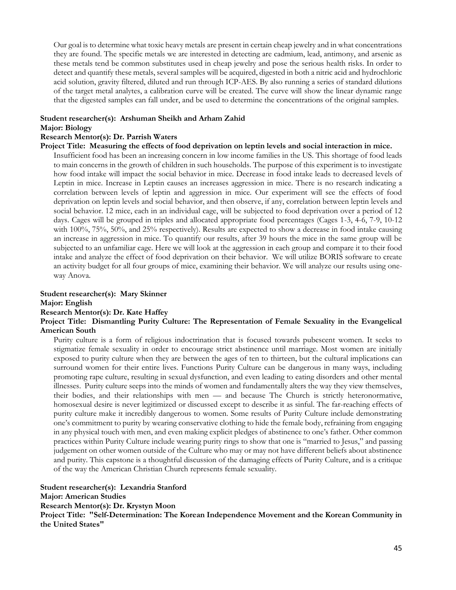Our goal is to determine what toxic heavy metals are present in certain cheap jewelry and in what concentrations they are found. The specific metals we are interested in detecting are cadmium, lead, antimony, and arsenic as these metals tend be common substitutes used in cheap jewelry and pose the serious health risks. In order to detect and quantify these metals, several samples will be acquired, digested in both a nitric acid and hydrochloric acid solution, gravity filtered, diluted and run through ICP-AES. By also running a series of standard dilutions of the target metal analytes, a calibration curve will be created. The curve will show the linear dynamic range that the digested samples can fall under, and be used to determine the concentrations of the original samples.

## **Student researcher(s): Arshuman Sheikh and Arham Zahid**

#### **Major: Biology**

#### **Research Mentor(s): Dr. Parrish Waters**

**Project Title: Measuring the effects of food deprivation on leptin levels and social interaction in mice.** 

Insufficient food has been an increasing concern in low income families in the US. This shortage of food leads to main concerns in the growth of children in such households. The purpose of this experiment is to investigate how food intake will impact the social behavior in mice. Decrease in food intake leads to decreased levels of Leptin in mice. Increase in Leptin causes an increases aggression in mice. There is no research indicating a correlation between levels of leptin and aggression in mice. Our experiment will see the effects of food deprivation on leptin levels and social behavior, and then observe, if any, correlation between leptin levels and social behavior. 12 mice, each in an individual cage, will be subjected to food deprivation over a period of 12 days. Cages will be grouped in triples and allocated appropriate food percentages (Cages 1-3, 4-6, 7-9, 10-12 with 100%, 75%, 50%, and 25% respectively). Results are expected to show a decrease in food intake causing an increase in aggression in mice. To quantify our results, after 39 hours the mice in the same group will be subjected to an unfamiliar cage. Here we will look at the aggression in each group and compare it to their food intake and analyze the effect of food deprivation on their behavior. We will utilize BORIS software to create an activity budget for all four groups of mice, examining their behavior. We will analyze our results using oneway Anova.

#### **Student researcher(s): Mary Skinner Major: English Research Mentor(s): Dr. Kate Haffey**

#### **Project Title: Dismantling Purity Culture: The Representation of Female Sexuality in the Evangelical American South**

Purity culture is a form of religious indoctrination that is focused towards pubescent women. It seeks to stigmatize female sexuality in order to encourage strict abstinence until marriage. Most women are initially exposed to purity culture when they are between the ages of ten to thirteen, but the cultural implications can surround women for their entire lives. Functions Purity Culture can be dangerous in many ways, including promoting rape culture, resulting in sexual dysfunction, and even leading to eating disorders and other mental illnesses. Purity culture seeps into the minds of women and fundamentally alters the way they view themselves, their bodies, and their relationships with men — and because The Church is strictly heteronormative, homosexual desire is never legitimized or discussed except to describe it as sinful. The far-reaching effects of purity culture make it incredibly dangerous to women. Some results of Purity Culture include demonstrating one's commitment to purity by wearing conservative clothing to hide the female body, refraining from engaging in any physical touch with men, and even making explicit pledges of abstinence to one's father. Other common practices within Purity Culture include wearing purity rings to show that one is "married to Jesus," and passing judgement on other women outside of the Culture who may or may not have different beliefs about abstinence and purity. This capstone is a thoughtful discussion of the damaging effects of Purity Culture, and is a critique of the way the American Christian Church represents female sexuality.

**Student researcher(s): Lexandria Stanford Major: American Studies Research Mentor(s): Dr. Krystyn Moon Project Title: "Self-Determination: The Korean Independence Movement and the Korean Community in the United States"**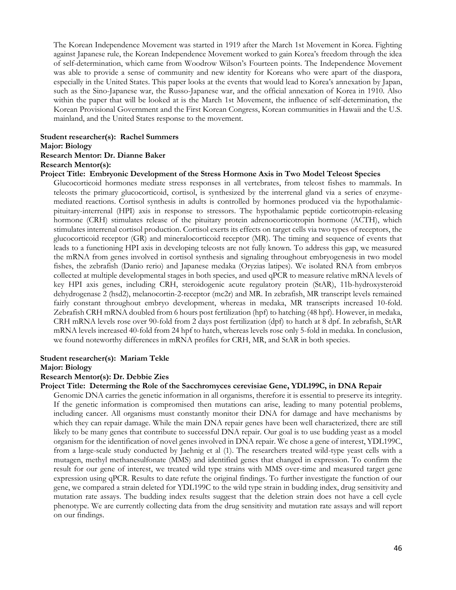The Korean Independence Movement was started in 1919 after the March 1st Movement in Korea. Fighting against Japanese rule, the Korean Independence Movement worked to gain Korea's freedom through the idea of self-determination, which came from Woodrow Wilson's Fourteen points. The Independence Movement was able to provide a sense of community and new identity for Koreans who were apart of the diaspora, especially in the United States. This paper looks at the events that would lead to Korea's annexation by Japan, such as the Sino-Japanese war, the Russo-Japanese war, and the official annexation of Korea in 1910. Also within the paper that will be looked at is the March 1st Movement, the influence of self-determination, the Korean Provisional Government and the First Korean Congress, Korean communities in Hawaii and the U.S. mainland, and the United States response to the movement.

### **Student researcher(s): Rachel Summers**

#### **Major: Biology**

#### **Research Mentor: Dr. Dianne Baker**

#### **Research Mentor(s):**

**Project Title: Embryonic Development of the Stress Hormone Axis in Two Model Teleost Species**

Glucocorticoid hormones mediate stress responses in all vertebrates, from teleost fishes to mammals. In teleosts the primary glucocorticoid, cortisol, is synthesized by the interrenal gland via a series of enzymemediated reactions. Cortisol synthesis in adults is controlled by hormones produced via the hypothalamicpituitary-interrenal (HPI) axis in response to stressors. The hypothalamic peptide corticotropin-releasing hormone (CRH) stimulates release of the pituitary protein adrenocorticotropin hormone (ACTH), which stimulates interrenal cortisol production. Cortisol exerts its effects on target cells via two types of receptors, the glucocorticoid receptor (GR) and mineralocorticoid receptor (MR). The timing and sequence of events that leads to a functioning HPI axis in developing teleosts are not fully known. To address this gap, we measured the mRNA from genes involved in cortisol synthesis and signaling throughout embryogenesis in two model fishes, the zebrafish (Danio rerio) and Japanese medaka (Oryzias latipes). We isolated RNA from embryos collected at multiple developmental stages in both species, and used qPCR to measure relative mRNA levels of key HPI axis genes, including CRH, steroidogenic acute regulatory protein (StAR), 11b-hydroxysteroid dehydrogenase 2 (hsd2), melanocortin-2-receptor (mc2r) and MR. In zebrafish, MR transcript levels remained fairly constant throughout embryo development, whereas in medaka, MR transcripts increased 10-fold. Zebrafish CRH mRNA doubled from 6 hours post fertilization (hpf) to hatching (48 hpf). However, in medaka, CRH mRNA levels rose over 90-fold from 2 days post fertilization (dpf) to hatch at 8 dpf. In zebrafish, StAR mRNA levels increased 40-fold from 24 hpf to hatch, whereas levels rose only 5-fold in medaka. In conclusion, we found noteworthy differences in mRNA profiles for CRH, MR, and StAR in both species.

#### **Student researcher(s): Mariam Tekle**

#### **Major: Biology**

#### **Research Mentor(s): Dr. Debbie Zies**

#### **Project Title: Determing the Role of the Sacchromyces cerevisiae Gene, YDL199C, in DNA Repair**

Genomic DNA carries the genetic information in all organisms, therefore it is essential to preserve its integrity. If the genetic information is compromised then mutations can arise, leading to many potential problems, including cancer. All organisms must constantly monitor their DNA for damage and have mechanisms by which they can repair damage. While the main DNA repair genes have been well characterized, there are still likely to be many genes that contribute to successful DNA repair. Our goal is to use budding yeast as a model organism for the identification of novel genes involved in DNA repair. We chose a gene of interest, YDL199C, from a large-scale study conducted by Jaehnig et al (1). The researchers treated wild-type yeast cells with a mutagen, methyl methanesulfonate (MMS) and identified genes that changed in expression. To confirm the result for our gene of interest, we treated wild type strains with MMS over-time and measured target gene expression using qPCR. Results to date refute the original findings. To further investigate the function of our gene, we compared a strain deleted for YDL199C to the wild type strain in budding index, drug sensitivity and mutation rate assays. The budding index results suggest that the deletion strain does not have a cell cycle phenotype. We are currently collecting data from the drug sensitivity and mutation rate assays and will report on our findings.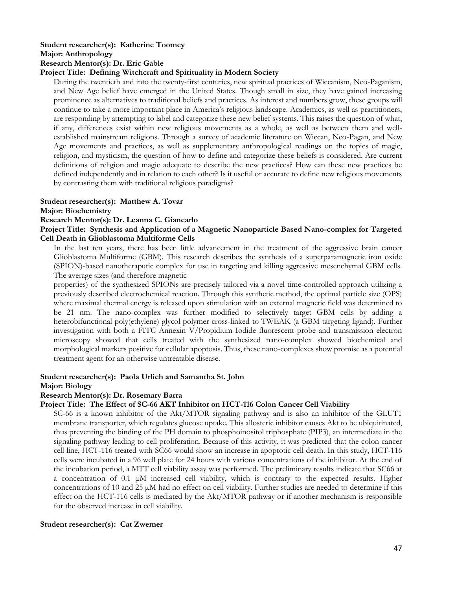### **Student researcher(s): Katherine Toomey Major: Anthropology**

#### **Research Mentor(s): Dr. Eric Gable**

#### **Project Title: Defining Witchcraft and Spirituality in Modern Society**

During the twentieth and into the twenty-first centuries, new spiritual practices of Wiccanism, Neo-Paganism, and New Age belief have emerged in the United States. Though small in size, they have gained increasing prominence as alternatives to traditional beliefs and practices. As interest and numbers grow, these groups will continue to take a more important place in America's religious landscape. Academics, as well as practitioners, are responding by attempting to label and categorize these new belief systems. This raises the question of what, if any, differences exist within new religious movements as a whole, as well as between them and wellestablished mainstream religions. Through a survey of academic literature on Wiccan, Neo-Pagan, and New Age movements and practices, as well as supplementary anthropological readings on the topics of magic, religion, and mysticism, the question of how to define and categorize these beliefs is considered. Are current definitions of religion and magic adequate to describe the new practices? How can these new practices be defined independently and in relation to each other? Is it useful or accurate to define new religious movements by contrasting them with traditional religious paradigms?

#### **Student researcher(s): Matthew A. Tovar**

#### **Major: Biochemistry**

#### **Research Mentor(s): Dr. Leanna C. Giancarlo**

#### **Project Title: Synthesis and Application of a Magnetic Nanoparticle Based Nano-complex for Targeted Cell Death in Glioblastoma Multiforme Cells**

In the last ten years, there has been little advancement in the treatment of the aggressive brain cancer Glioblastoma Multiforme (GBM). This research describes the synthesis of a superparamagnetic iron oxide (SPION)-based nanotheraputic complex for use in targeting and killing aggressive mesenchymal GBM cells. The average sizes (and therefore magnetic

properties) of the synthesized SPIONs are precisely tailored via a novel time-controlled approach utilizing a previously described electrochemical reaction. Through this synthetic method, the optimal particle size (OPS) where maximal thermal energy is released upon stimulation with an external magnetic field was determined to be 21 nm. The nano-complex was further modified to selectively target GBM cells by adding a heterobifunctional poly(ethylene) glycol polymer cross-linked to TWEAK (a GBM targeting ligand). Further investigation with both a FITC Annexin V/Propidium Iodide fluorescent probe and transmission electron microscopy showed that cells treated with the synthesized nano-complex showed biochemical and morphological markers positive for cellular apoptosis. Thus, these nano-complexes show promise as a potential treatment agent for an otherwise untreatable disease.

#### **Student researcher(s): Paola Urlich and Samantha St. John Major: Biology**

## **Research Mentor(s): Dr. Rosemary Barra**

#### **Project Title: The Effect of SC-66 AKT Inhibitor on HCT-116 Colon Cancer Cell Viability**

SC-66 is a known inhibitor of the Akt/MTOR signaling pathway and is also an inhibitor of the GLUT1 membrane transporter, which regulates glucose uptake. This allosteric inhibitor causes Akt to be ubiquitinated, thus preventing the binding of the PH domain to phosphoinositol triphosphate (PIP3), an intermediate in the signaling pathway leading to cell proliferation. Because of this activity, it was predicted that the colon cancer cell line, HCT-116 treated with SC66 would show an increase in apoptotic cell death. In this study, HCT-116 cells were incubated in a 96 well plate for 24 hours with various concentrations of the inhibitor. At the end of the incubation period, a MTT cell viability assay was performed. The preliminary results indicate that SC66 at a concentration of 0.1 μM increased cell viability, which is contrary to the expected results. Higher concentrations of 10 and 25 μM had no effect on cell viability. Further studies are needed to determine if this effect on the HCT-116 cells is mediated by the Akt/MTOR pathway or if another mechanism is responsible for the observed increase in cell viability.

#### **Student researcher(s): Cat Zwemer**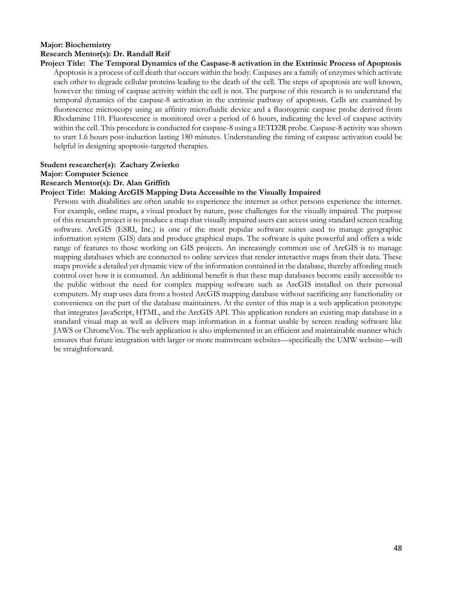#### **Major: Biochemistry Research Mentor(s): Dr. Randall Reif**

**Project Title: The Temporal Dynamics of the Caspase-8 activation in the Extrinsic Process of Apoptosis**  Apoptosis is a process of cell death that occurs within the body. Caspases are a family of enzymes which activate each other to degrade cellular proteins leading to the death of the cell. The steps of apoptosis are well known, however the timing of caspase activity within the cell is not. The purpose of this research is to understand the temporal dynamics of the caspase-8 activation in the extrinsic pathway of apoptosis. Cells are examined by fluorescence microscopy using an affinity microfluidic device and a fluorogenic caspase probe derived from Rhodamine 110. Fluorescence is monitored over a period of 6 hours, indicating the level of caspase activity within the cell. This procedure is conducted for caspase-8 using a IETD2R probe. Caspase-8 activity was shown to start 1.6 hours post-induction lasting 180 minutes. Understanding the timing of caspase activation could be helpful in designing apoptosis-targeted therapies.

#### **Student researcher(s): Zachary Zwierko Major: Computer Science**

#### **Research Mentor(s): Dr. Alan Griffith**

#### **Project Title: Making ArcGIS Mapping Data Accessible to the Visually Impaired**

Persons with disabilities are often unable to experience the internet as other persons experience the internet. For example, online maps, a visual product by nature, pose challenges for the visually impaired. The purpose of this research project is to produce a map that visually impaired users can access using standard screen reading software. ArcGIS (ESRI, Inc.) is one of the most popular software suites used to manage geographic information system (GIS) data and produce graphical maps. The software is quite powerful and offers a wide range of features to those working on GIS projects. An increasingly common use of ArcGIS is to manage mapping databases which are connected to online services that render interactive maps from their data. These maps provide a detailed yet dynamic view of the information contained in the database, thereby affording much control over how it is consumed. An additional benefit is that these map databases become easily accessible to the public without the need for complex mapping software such as ArcGIS installed on their personal computers. My map uses data from a hosted ArcGIS mapping database without sacrificing any functionality or convenience on the part of the database maintainers. At the center of this map is a web application prototype that integrates JavaScript, HTML, and the ArcGIS API. This application renders an existing map database in a standard visual map as well as delivers map information in a format usable by screen reading software like JAWS or ChromeVox. The web application is also implemented in an efficient and maintainable manner which ensures that future integration with larger or more mainstream websites—specifically the UMW website—will be straightforward.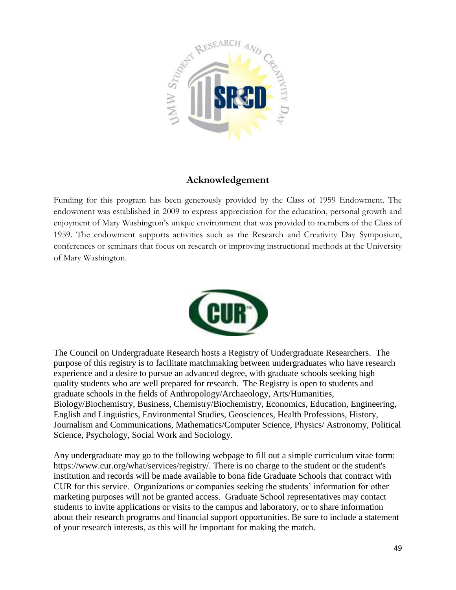

## **Acknowledgement**

Funding for this program has been generously provided by the Class of 1959 Endowment. The endowment was established in 2009 to express appreciation for the education, personal growth and enjoyment of Mary Washington's unique environment that was provided to members of the Class of 1959. The endowment supports activities such as the Research and Creativity Day Symposium, conferences or seminars that focus on research or improving instructional methods at the University of Mary Washington.



The Council on Undergraduate Research hosts a Registry of Undergraduate Researchers. The purpose of this registry is to facilitate matchmaking between undergraduates who have research experience and a desire to pursue an advanced degree, with graduate schools seeking high quality students who are well prepared for research. The Registry is open to students and graduate schools in the fields of Anthropology/Archaeology, Arts/Humanities, Biology/Biochemistry, Business, Chemistry/Biochemistry, Economics, Education, Engineering, English and Linguistics, Environmental Studies, Geosciences, Health Professions, History, Journalism and Communications, Mathematics/Computer Science, Physics/ Astronomy, Political Science, Psychology, Social Work and Sociology.

Any undergraduate may go to the following webpage to fill out a simple curriculum vitae form: https://www.cur.org/what/services/registry/. There is no charge to the student or the student's institution and records will be made available to bona fide Graduate Schools that contract with CUR for this service. Organizations or companies seeking the students' information for other marketing purposes will not be granted access. Graduate School representatives may contact students to invite applications or visits to the campus and laboratory, or to share information about their research programs and financial support opportunities. Be sure to include a statement of your research interests, as this will be important for making the match.